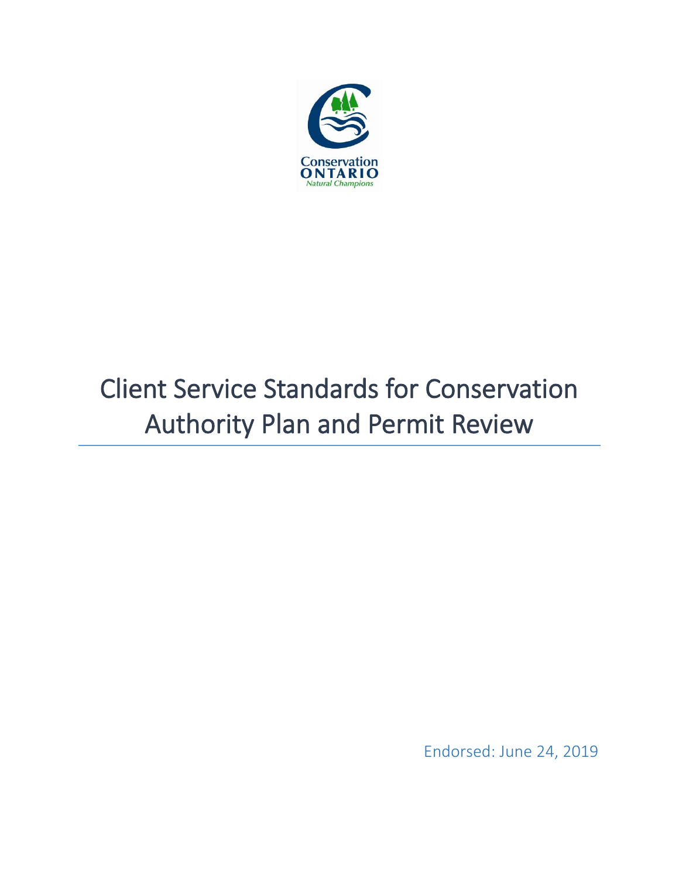

# Client Service Standards for Conservation Authority Plan and Permit Review

Endorsed: June 24, 2019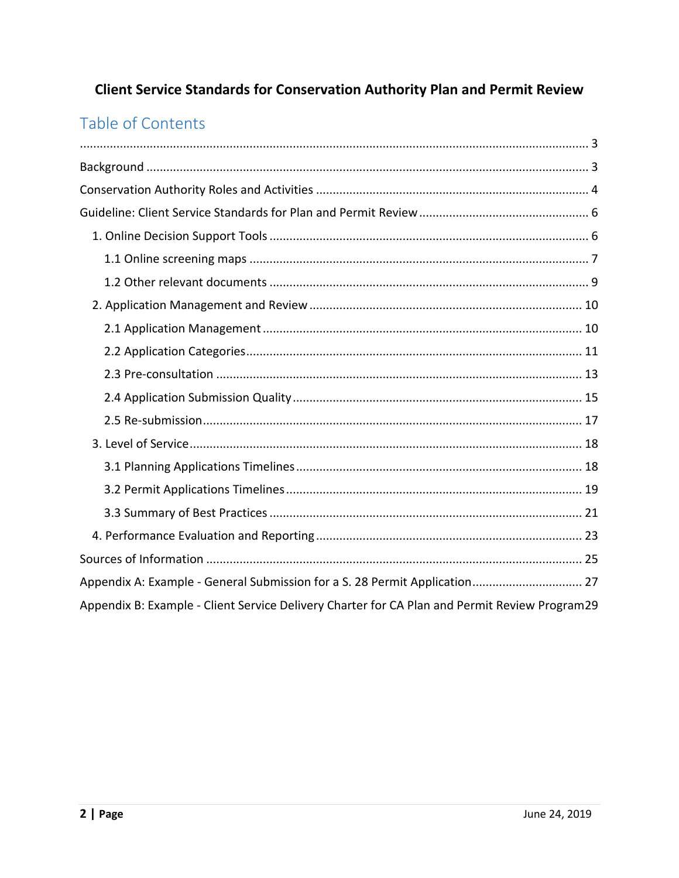# **Client Service Standards for Conservation Authority Plan and Permit Review**

# Table of Contents

| Appendix A: Example - General Submission for a S. 28 Permit Application 27                    |  |
|-----------------------------------------------------------------------------------------------|--|
| Appendix B: Example - Client Service Delivery Charter for CA Plan and Permit Review Program29 |  |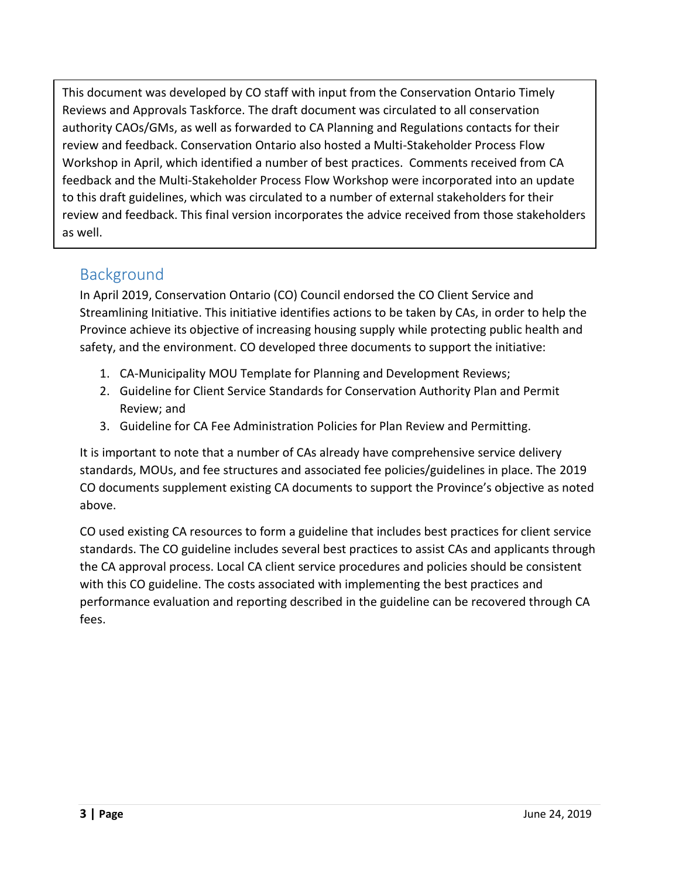<span id="page-2-0"></span>This document was developed by CO staff with input from the Conservation Ontario Timely Reviews and Approvals Taskforce. The draft document was circulated to all conservation authority CAOs/GMs, as well as forwarded to CA Planning and Regulations contacts for their review and feedback. Conservation Ontario also hosted a Multi-Stakeholder Process Flow Workshop in April, which identified a number of best practices. Comments received from CA feedback and the Multi-Stakeholder Process Flow Workshop were incorporated into an update to this draft guidelines, which was circulated to a number of external stakeholders for their review and feedback. This final version incorporates the advice received from those stakeholders as well.

# <span id="page-2-1"></span>Background

In April 2019, Conservation Ontario (CO) Council endorsed the CO Client Service and Streamlining Initiative. This initiative identifies actions to be taken by CAs, in order to help the Province achieve its objective of increasing housing supply while protecting public health and safety, and the environment. CO developed three documents to support the initiative:

- 1. CA-Municipality MOU Template for Planning and Development Reviews;
- 2. Guideline for Client Service Standards for Conservation Authority Plan and Permit Review; and
- 3. Guideline for CA Fee Administration Policies for Plan Review and Permitting.

It is important to note that a number of CAs already have comprehensive service delivery standards, MOUs, and fee structures and associated fee policies/guidelines in place. The 2019 CO documents supplement existing CA documents to support the Province's objective as noted above.

CO used existing CA resources to form a guideline that includes best practices for client service standards. The CO guideline includes several best practices to assist CAs and applicants through the CA approval process. Local CA client service procedures and policies should be consistent with this CO guideline. The costs associated with implementing the best practices and performance evaluation and reporting described in the guideline can be recovered through CA fees.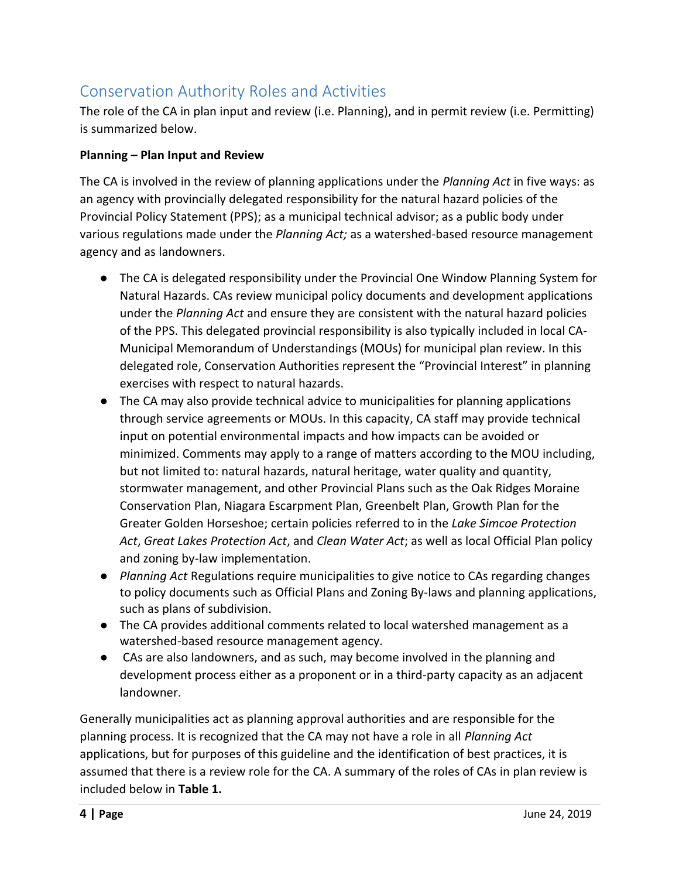# <span id="page-3-0"></span>Conservation Authority Roles and Activities

The role of the CA in plan input and review (i.e. Planning), and in permit review (i.e. Permitting) is summarized below.

# **Planning – Plan Input and Review**

The CA is involved in the review of planning applications under the *Planning Act* in five ways: as an agency with provincially delegated responsibility for the natural hazard policies of the Provincial Policy Statement (PPS); as a municipal technical advisor; as a public body under various regulations made under the *Planning Act;* as a watershed-based resource management agency and as landowners.

- The CA is delegated responsibility under the Provincial One Window Planning System for Natural Hazards. CAs review municipal policy documents and development applications under the *Planning Act* and ensure they are consistent with the natural hazard policies of the PPS. This delegated provincial responsibility is also typically included in local CA-Municipal Memorandum of Understandings (MOUs) for municipal plan review. In this delegated role, Conservation Authorities represent the "Provincial Interest" in planning exercises with respect to natural hazards.
- The CA may also provide technical advice to municipalities for planning applications through service agreements or MOUs. In this capacity, CA staff may provide technical input on potential environmental impacts and how impacts can be avoided or minimized. Comments may apply to a range of matters according to the MOU including, but not limited to: natural hazards, natural heritage, water quality and quantity, stormwater management, and other Provincial Plans such as the Oak Ridges Moraine Conservation Plan, Niagara Escarpment Plan, Greenbelt Plan, Growth Plan for the Greater Golden Horseshoe; certain policies referred to in the *Lake Simcoe Protection Act*, *Great Lakes Protection Act*, and *Clean Water Act*; as well as local Official Plan policy and zoning by-law implementation.
- *Planning Act* Regulations require municipalities to give notice to CAs regarding changes to policy documents such as Official Plans and Zoning By-laws and planning applications, such as plans of subdivision.
- The CA provides additional comments related to local watershed management as a watershed-based resource management agency.
- CAs are also landowners, and as such, may become involved in the planning and development process either as a proponent or in a third-party capacity as an adjacent landowner.

Generally municipalities act as planning approval authorities and are responsible for the planning process. It is recognized that the CA may not have a role in all *Planning Act*  applications, but for purposes of this guideline and the identification of best practices, it is assumed that there is a review role for the CA. A summary of the roles of CAs in plan review is included below in **Table 1.**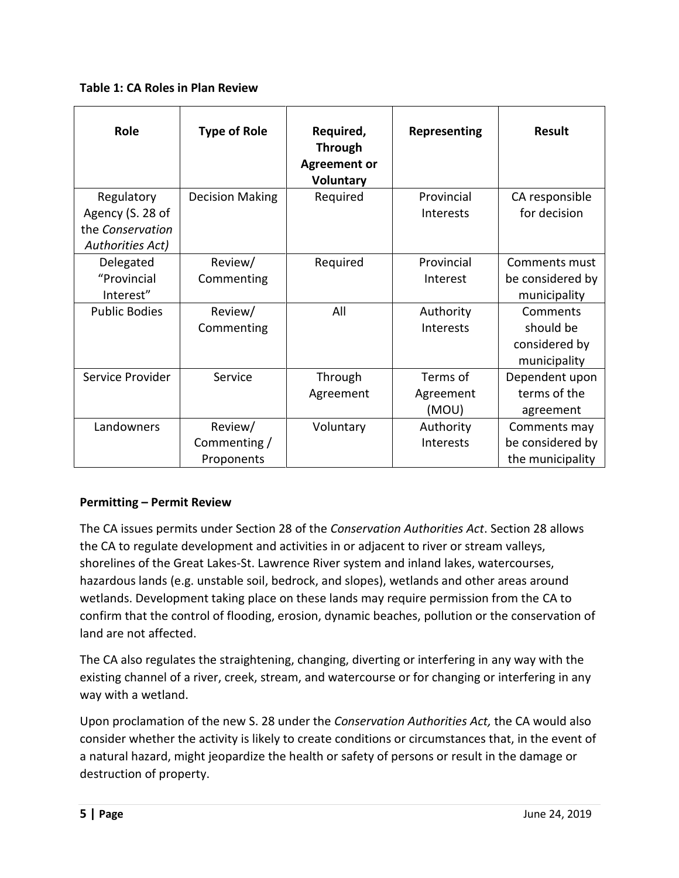**Table 1: CA Roles in Plan Review** 

| Role                                 | <b>Type of Role</b>    | Required,<br><b>Through</b><br><b>Agreement or</b><br><b>Voluntary</b> | Representing | <b>Result</b>    |
|--------------------------------------|------------------------|------------------------------------------------------------------------|--------------|------------------|
| Regulatory                           | <b>Decision Making</b> | Required                                                               | Provincial   | CA responsible   |
| Agency (S. 28 of<br>the Conservation |                        |                                                                        | Interests    | for decision     |
| Authorities Act)                     |                        |                                                                        |              |                  |
| Delegated                            | Review/                | Required                                                               | Provincial   | Comments must    |
| "Provincial                          | Commenting             |                                                                        | Interest     | be considered by |
| Interest"                            |                        |                                                                        |              | municipality     |
| <b>Public Bodies</b>                 | Review/                | All                                                                    | Authority    | Comments         |
|                                      | Commenting             |                                                                        | Interests    | should be        |
|                                      |                        |                                                                        |              | considered by    |
|                                      |                        |                                                                        |              | municipality     |
| Service Provider                     | Service                | Through                                                                | Terms of     | Dependent upon   |
|                                      |                        | Agreement                                                              | Agreement    | terms of the     |
|                                      |                        |                                                                        | (MOU)        | agreement        |
| Landowners                           | Review/                | Voluntary                                                              | Authority    | Comments may     |
|                                      | Commenting /           |                                                                        | Interests    | be considered by |
|                                      | Proponents             |                                                                        |              | the municipality |

# **Permitting – Permit Review**

The CA issues permits under Section 28 of the *Conservation Authorities Act*. Section 28 allows the CA to regulate development and activities in or adjacent to river or stream valleys, shorelines of the Great Lakes-St. Lawrence River system and inland lakes, watercourses, hazardous lands (e.g. unstable soil, bedrock, and slopes), wetlands and other areas around wetlands. Development taking place on these lands may require permission from the CA to confirm that the control of flooding, erosion, dynamic beaches, pollution or the conservation of land are not affected.

The CA also regulates the straightening, changing, diverting or interfering in any way with the existing channel of a river, creek, stream, and watercourse or for changing or interfering in any way with a wetland.

Upon proclamation of the new S. 28 under the *Conservation Authorities Act,* the CA would also consider whether the activity is likely to create conditions or circumstances that, in the event of a natural hazard, might jeopardize the health or safety of persons or result in the damage or destruction of property.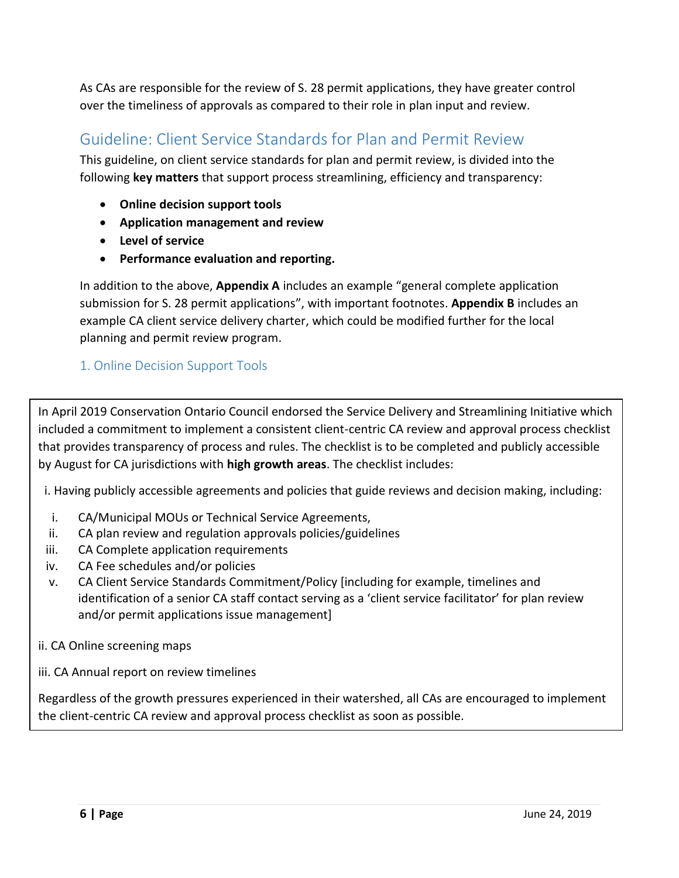<span id="page-5-1"></span>As CAs are responsible for the review of S. 28 permit applications, they have greater control over the timeliness of approvals as compared to their role in plan input and review.

# <span id="page-5-0"></span>Guideline: Client Service Standards for Plan and Permit Review

This guideline, on client service standards for plan and permit review, is divided into the following **key matters** that support process streamlining, efficiency and transparency:

- **Online decision support tools**
- **Application management and review**
- **Level of service**
- **Performance evaluation and reporting.**

In addition to the above, **Appendix A** includes an example "general complete application submission for S. 28 permit applications", with important footnotes. **Appendix B** includes an example CA client service delivery charter, which could be modified further for the local planning and permit review program.

# 1. Online Decision Support Tools

In April 2019 Conservation Ontario Council endorsed the Service Delivery and Streamlining Initiative which included a commitment to implement a consistent client-centric CA review and approval process checklist that provides transparency of process and rules. The checklist is to be completed and publicly accessible by August for CA jurisdictions with **high growth areas**. The checklist includes:

i. Having publicly accessible agreements and policies that guide reviews and decision making, including:

- i. CA/Municipal MOUs or Technical Service Agreements,
- ii. CA plan review and regulation approvals policies/guidelines
- iii. CA Complete application requirements
- iv. CA Fee schedules and/or policies
- v. CA Client Service Standards Commitment/Policy [including for example, timelines and identification of a senior CA staff contact serving as a 'client service facilitator' for plan review and/or permit applications issue management]
- ii. CA Online screening maps
- iii. CA Annual report on review timelines

Regardless of the growth pressures experienced in their watershed, all CAs are encouraged to implement the client-centric CA review and approval process checklist as soon as possible.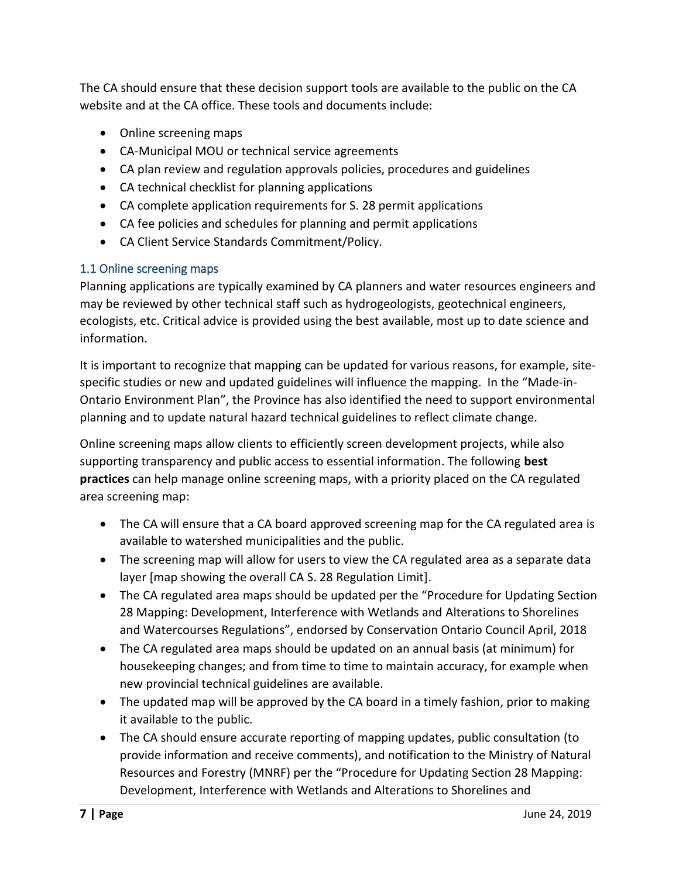The CA should ensure that these decision support tools are available to the public on the CA website and at the CA office. These tools and documents include:

- Online screening maps
- CA-Municipal MOU or technical service agreements
- CA plan review and regulation approvals policies, procedures and guidelines
- CA technical checklist for planning applications
- CA complete application requirements for S. 28 permit applications
- CA fee policies and schedules for planning and permit applications
- CA Client Service Standards Commitment/Policy.

#### <span id="page-6-0"></span>1.1 Online screening maps

Planning applications are typically examined by CA planners and water resources engineers and may be reviewed by other technical staff such as hydrogeologists, geotechnical engineers, ecologists, etc. Critical advice is provided using the best available, most up to date science and information.

It is important to recognize that mapping can be updated for various reasons, for example, sitespecific studies or new and updated guidelines will influence the mapping. In the "Made-in-Ontario Environment Plan", the Province has also identified the need to support environmental planning and to update natural hazard technical guidelines to reflect climate change.

Online screening maps allow clients to efficiently screen development projects, while also supporting transparency and public access to essential information. The following **best practices** can help manage online screening maps, with a priority placed on the CA regulated area screening map:

- The CA will ensure that a CA board approved screening map for the CA regulated area is available to watershed municipalities and the public.
- The screening map will allow for users to view the CA regulated area as a separate data layer [map showing the overall CA S. 28 Regulation Limit].
- The CA regulated area maps should be updated per the "Procedure for Updating Section 28 Mapping: Development, Interference with Wetlands and Alterations to Shorelines and Watercourses Regulations", endorsed by Conservation Ontario Council April, 2018
- The CA regulated area maps should be updated on an annual basis (at minimum) for housekeeping changes; and from time to time to maintain accuracy, for example when new provincial technical guidelines are available.
- The updated map will be approved by the CA board in a timely fashion, prior to making it available to the public.
- The CA should ensure accurate reporting of mapping updates, public consultation (to provide information and receive comments), and notification to the Ministry of Natural Resources and Forestry (MNRF) per the "Procedure for Updating Section 28 Mapping: Development, Interference with Wetlands and Alterations to Shorelines and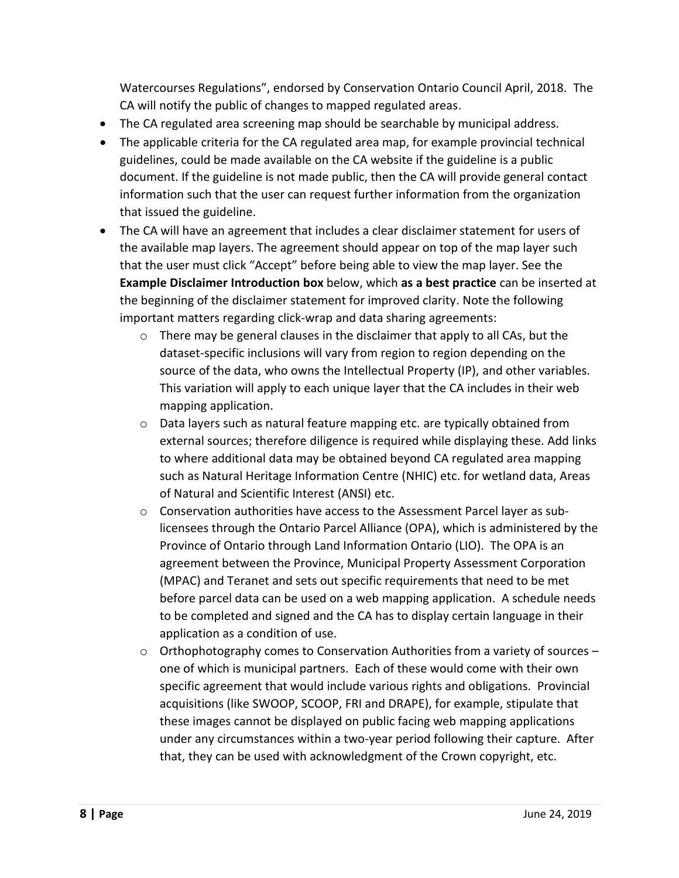Watercourses Regulations", endorsed by Conservation Ontario Council April, 2018. The CA will notify the public of changes to mapped regulated areas.

- The CA regulated area screening map should be searchable by municipal address.
- The applicable criteria for the CA regulated area map, for example provincial technical guidelines, could be made available on the CA website if the guideline is a public document. If the guideline is not made public, then the CA will provide general contact information such that the user can request further information from the organization that issued the guideline.
- The CA will have an agreement that includes a clear disclaimer statement for users of the available map layers. The agreement should appear on top of the map layer such that the user must click "Accept" before being able to view the map layer. See the **Example Disclaimer Introduction box** below, which **as a best practice** can be inserted at the beginning of the disclaimer statement for improved clarity. Note the following important matters regarding click-wrap and data sharing agreements:
	- $\circ$  There may be general clauses in the disclaimer that apply to all CAs, but the dataset-specific inclusions will vary from region to region depending on the source of the data, who owns the Intellectual Property (IP), and other variables. This variation will apply to each unique layer that the CA includes in their web mapping application.
	- $\circ$  Data layers such as natural feature mapping etc. are typically obtained from external sources; therefore diligence is required while displaying these. Add links to where additional data may be obtained beyond CA regulated area mapping such as Natural Heritage Information Centre (NHIC) etc. for wetland data, Areas of Natural and Scientific Interest (ANSI) etc.
	- $\circ$  Conservation authorities have access to the Assessment Parcel layer as sublicensees through the Ontario Parcel Alliance (OPA), which is administered by the Province of Ontario through Land Information Ontario (LIO). The OPA is an agreement between the Province, Municipal Property Assessment Corporation (MPAC) and Teranet and sets out specific requirements that need to be met before parcel data can be used on a web mapping application. A schedule needs to be completed and signed and the CA has to display certain language in their application as a condition of use.
	- $\circ$  Orthophotography comes to Conservation Authorities from a variety of sources one of which is municipal partners. Each of these would come with their own specific agreement that would include various rights and obligations. Provincial acquisitions (like SWOOP, SCOOP, FRI and DRAPE), for example, stipulate that these images cannot be displayed on public facing web mapping applications under any circumstances within a two-year period following their capture. After that, they can be used with acknowledgment of the Crown copyright, etc.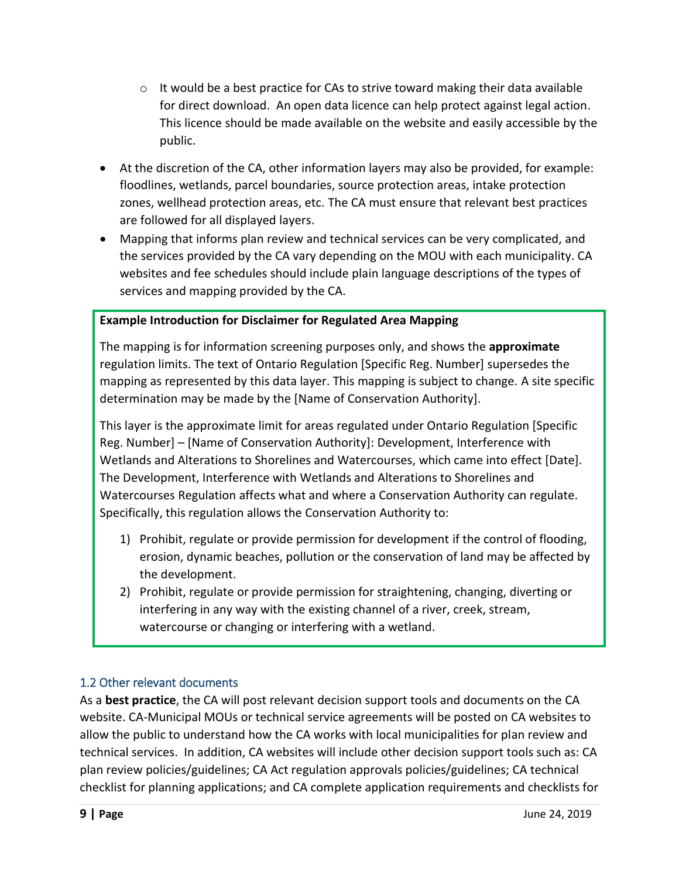- $\circ$  It would be a best practice for CAs to strive toward making their data available for direct download. An open data licence can help protect against legal action. This licence should be made available on the website and easily accessible by the public.
- At the discretion of the CA, other information layers may also be provided, for example: floodlines, wetlands, parcel boundaries, source protection areas, intake protection zones, wellhead protection areas, etc. The CA must ensure that relevant best practices are followed for all displayed layers.
- Mapping that informs plan review and technical services can be very complicated, and the services provided by the CA vary depending on the MOU with each municipality. CA websites and fee schedules should include plain language descriptions of the types of services and mapping provided by the CA.

## **Example Introduction for Disclaimer for Regulated Area Mapping**

The mapping is for information screening purposes only, and shows the **approximate** regulation limits. The text of Ontario Regulation [Specific Reg. Number] supersedes the mapping as represented by this data layer. This mapping is subject to change. A site specific determination may be made by the [Name of Conservation Authority].

This layer is the approximate limit for areas regulated under Ontario Regulation [Specific Reg. Number] – [Name of Conservation Authority]: Development, Interference with Wetlands and Alterations to Shorelines and Watercourses, which came into effect [Date]. The Development, Interference with Wetlands and Alterations to Shorelines and Watercourses Regulation affects what and where a Conservation Authority can regulate. Specifically, this regulation allows the Conservation Authority to:

- 1) Prohibit, regulate or provide permission for development if the control of flooding, erosion, dynamic beaches, pollution or the conservation of land may be affected by the development.
- 2) Prohibit, regulate or provide permission for straightening, changing, diverting or interfering in any way with the existing channel of a river, creek, stream, watercourse or changing or interfering with a wetland.

# <span id="page-8-0"></span>1.2 Other relevant documents

As a **best practice**, the CA will post relevant decision support tools and documents on the CA website. CA-Municipal MOUs or technical service agreements will be posted on CA websites to allow the public to understand how the CA works with local municipalities for plan review and technical services. In addition, CA websites will include other decision support tools such as: CA plan review policies/guidelines; CA Act regulation approvals policies/guidelines; CA technical checklist for planning applications; and CA complete application requirements and checklists for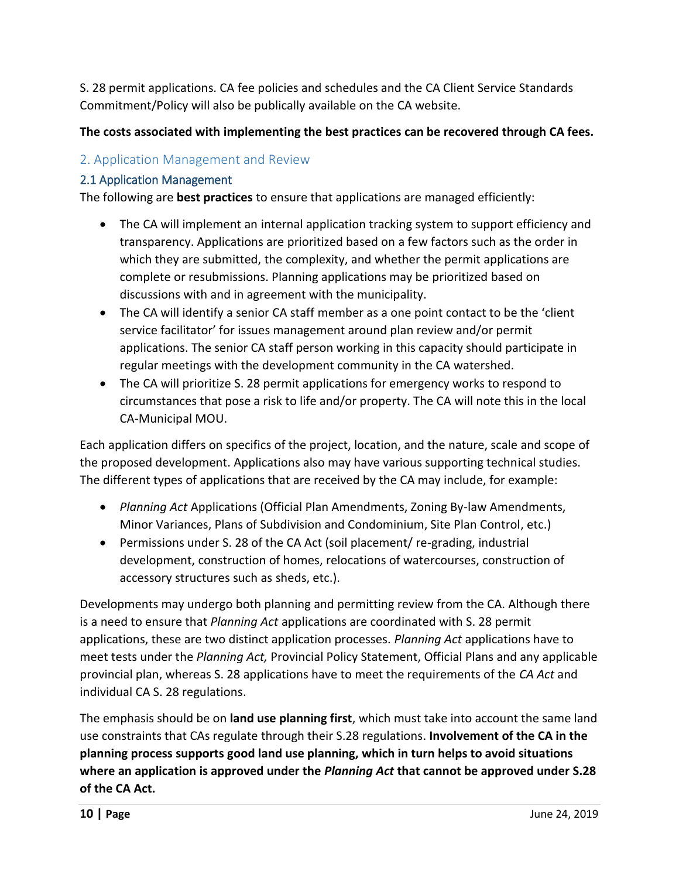S. 28 permit applications. CA fee policies and schedules and the CA Client Service Standards Commitment/Policy will also be publically available on the CA website.

# **The costs associated with implementing the best practices can be recovered through CA fees.**

# <span id="page-9-0"></span>2. Application Management and Review

# <span id="page-9-1"></span>2.1 Application Management

The following are **best practices** to ensure that applications are managed efficiently:

- The CA will implement an internal application tracking system to support efficiency and transparency. Applications are prioritized based on a few factors such as the order in which they are submitted, the complexity, and whether the permit applications are complete or resubmissions. Planning applications may be prioritized based on discussions with and in agreement with the municipality.
- The CA will identify a senior CA staff member as a one point contact to be the 'client service facilitator' for issues management around plan review and/or permit applications. The senior CA staff person working in this capacity should participate in regular meetings with the development community in the CA watershed.
- The CA will prioritize S. 28 permit applications for emergency works to respond to circumstances that pose a risk to life and/or property. The CA will note this in the local CA-Municipal MOU.

Each application differs on specifics of the project, location, and the nature, scale and scope of the proposed development. Applications also may have various supporting technical studies. The different types of applications that are received by the CA may include, for example:

- *Planning Act* Applications (Official Plan Amendments, Zoning By-law Amendments, Minor Variances, Plans of Subdivision and Condominium, Site Plan Control, etc.)
- Permissions under S. 28 of the CA Act (soil placement/ re-grading, industrial development, construction of homes, relocations of watercourses, construction of accessory structures such as sheds, etc.).

Developments may undergo both planning and permitting review from the CA. Although there is a need to ensure that *Planning Act* applications are coordinated with S. 28 permit applications, these are two distinct application processes. *Planning Act* applications have to meet tests under the *Planning Act,* Provincial Policy Statement, Official Plans and any applicable provincial plan, whereas S. 28 applications have to meet the requirements of the *CA Act* and individual CA S. 28 regulations.

The emphasis should be on **land use planning first**, which must take into account the same land use constraints that CAs regulate through their S.28 regulations. **Involvement of the CA in the planning process supports good land use planning, which in turn helps to avoid situations where an application is approved under the** *Planning Act* **that cannot be approved under S.28 of the CA Act.**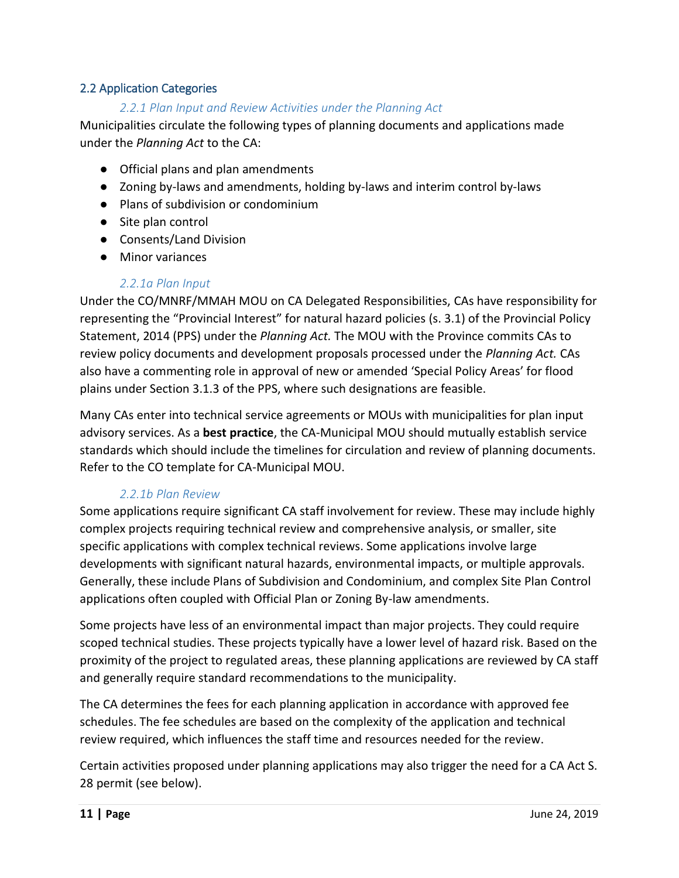#### <span id="page-10-0"></span>2.2 Application Categories

#### *2.2.1 Plan Input and Review Activities under the Planning Act*

Municipalities circulate the following types of planning documents and applications made under the *Planning Act* to the CA:

- Official plans and plan amendments
- Zoning by-laws and amendments, holding by-laws and interim control by-laws
- Plans of subdivision or condominium
- Site plan control
- Consents/Land Division
- Minor variances

#### *2.2.1a Plan Input*

Under the CO/MNRF/MMAH MOU on CA Delegated Responsibilities, CAs have responsibility for representing the "Provincial Interest" for natural hazard policies (s. 3.1) of the Provincial Policy Statement, 2014 (PPS) under the *Planning Act.* The MOU with the Province commits CAs to review policy documents and development proposals processed under the *Planning Act.* CAs also have a commenting role in approval of new or amended 'Special Policy Areas' for flood plains under Section 3.1.3 of the PPS, where such designations are feasible.

Many CAs enter into technical service agreements or MOUs with municipalities for plan input advisory services. As a **best practice**, the CA-Municipal MOU should mutually establish service standards which should include the timelines for circulation and review of planning documents. Refer to the CO template for CA-Municipal MOU.

#### *2.2.1b Plan Review*

Some applications require significant CA staff involvement for review. These may include highly complex projects requiring technical review and comprehensive analysis, or smaller, site specific applications with complex technical reviews. Some applications involve large developments with significant natural hazards, environmental impacts, or multiple approvals. Generally, these include Plans of Subdivision and Condominium, and complex Site Plan Control applications often coupled with Official Plan or Zoning By-law amendments.

Some projects have less of an environmental impact than major projects. They could require scoped technical studies. These projects typically have a lower level of hazard risk. Based on the proximity of the project to regulated areas, these planning applications are reviewed by CA staff and generally require standard recommendations to the municipality.

The CA determines the fees for each planning application in accordance with approved fee schedules. The fee schedules are based on the complexity of the application and technical review required, which influences the staff time and resources needed for the review.

Certain activities proposed under planning applications may also trigger the need for a CA Act S. 28 permit (see below).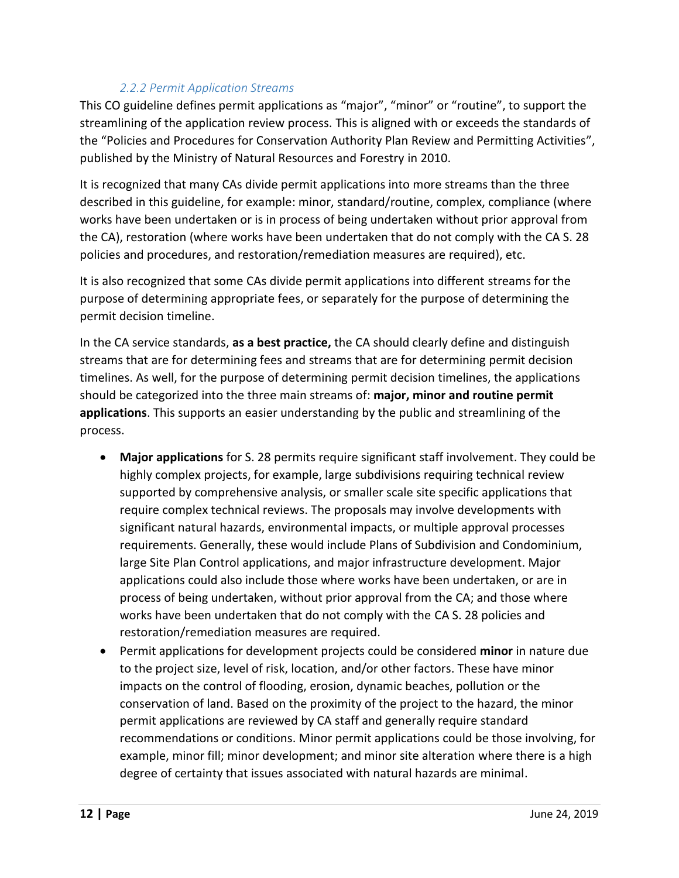## *2.2.2 Permit Application Streams*

This CO guideline defines permit applications as "major", "minor" or "routine", to support the streamlining of the application review process. This is aligned with or exceeds the standards of the "Policies and Procedures for Conservation Authority Plan Review and Permitting Activities", published by the Ministry of Natural Resources and Forestry in 2010.

It is recognized that many CAs divide permit applications into more streams than the three described in this guideline, for example: minor, standard/routine, complex, compliance (where works have been undertaken or is in process of being undertaken without prior approval from the CA), restoration (where works have been undertaken that do not comply with the CA S. 28 policies and procedures, and restoration/remediation measures are required), etc.

It is also recognized that some CAs divide permit applications into different streams for the purpose of determining appropriate fees, or separately for the purpose of determining the permit decision timeline.

In the CA service standards, **as a best practice,** the CA should clearly define and distinguish streams that are for determining fees and streams that are for determining permit decision timelines. As well, for the purpose of determining permit decision timelines, the applications should be categorized into the three main streams of: **major, minor and routine permit applications**. This supports an easier understanding by the public and streamlining of the process.

- **Major applications** for S. 28 permits require significant staff involvement. They could be highly complex projects, for example, large subdivisions requiring technical review supported by comprehensive analysis, or smaller scale site specific applications that require complex technical reviews. The proposals may involve developments with significant natural hazards, environmental impacts, or multiple approval processes requirements. Generally, these would include Plans of Subdivision and Condominium, large Site Plan Control applications, and major infrastructure development. Major applications could also include those where works have been undertaken, or are in process of being undertaken, without prior approval from the CA; and those where works have been undertaken that do not comply with the CA S. 28 policies and restoration/remediation measures are required.
- Permit applications for development projects could be considered **minor** in nature due to the project size, level of risk, location, and/or other factors. These have minor impacts on the control of flooding, erosion, dynamic beaches, pollution or the conservation of land. Based on the proximity of the project to the hazard, the minor permit applications are reviewed by CA staff and generally require standard recommendations or conditions. Minor permit applications could be those involving, for example, minor fill; minor development; and minor site alteration where there is a high degree of certainty that issues associated with natural hazards are minimal.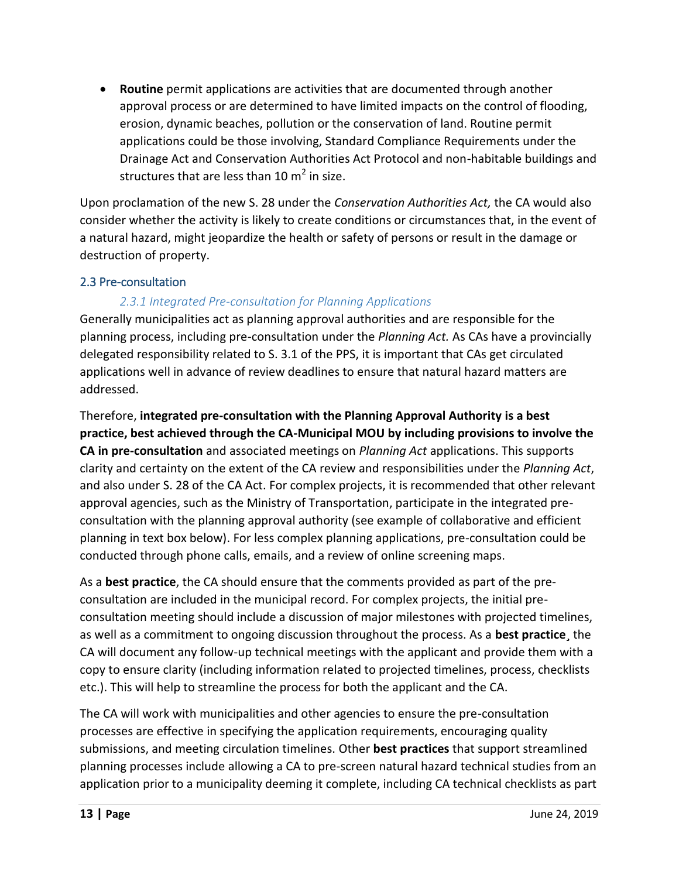**Routine** permit applications are activities that are documented through another approval process or are determined to have limited impacts on the control of flooding, erosion, dynamic beaches, pollution or the conservation of land. Routine permit applications could be those involving, Standard Compliance Requirements under the Drainage Act and Conservation Authorities Act Protocol and non-habitable buildings and structures that are less than 10 m<sup>2</sup> in size.

Upon proclamation of the new S. 28 under the *Conservation Authorities Act,* the CA would also consider whether the activity is likely to create conditions or circumstances that, in the event of a natural hazard, might jeopardize the health or safety of persons or result in the damage or destruction of property.

#### <span id="page-12-0"></span>2.3 Pre-consultation

## *2.3.1 Integrated Pre-consultation for Planning Applications*

Generally municipalities act as planning approval authorities and are responsible for the planning process, including pre-consultation under the *Planning Act.* As CAs have a provincially delegated responsibility related to S. 3.1 of the PPS, it is important that CAs get circulated applications well in advance of review deadlines to ensure that natural hazard matters are addressed.

Therefore, **integrated pre-consultation with the Planning Approval Authority is a best practice, best achieved through the CA-Municipal MOU by including provisions to involve the CA in pre-consultation** and associated meetings on *Planning Act* applications. This supports clarity and certainty on the extent of the CA review and responsibilities under the *Planning Act*, and also under S. 28 of the CA Act. For complex projects, it is recommended that other relevant approval agencies, such as the Ministry of Transportation, participate in the integrated preconsultation with the planning approval authority (see example of collaborative and efficient planning in text box below). For less complex planning applications, pre-consultation could be conducted through phone calls, emails, and a review of online screening maps.

As a **best practice**, the CA should ensure that the comments provided as part of the preconsultation are included in the municipal record. For complex projects, the initial preconsultation meeting should include a discussion of major milestones with projected timelines, as well as a commitment to ongoing discussion throughout the process. As a **best practice¸** the CA will document any follow-up technical meetings with the applicant and provide them with a copy to ensure clarity (including information related to projected timelines, process, checklists etc.). This will help to streamline the process for both the applicant and the CA.

The CA will work with municipalities and other agencies to ensure the pre-consultation processes are effective in specifying the application requirements, encouraging quality submissions, and meeting circulation timelines. Other **best practices** that support streamlined planning processes include allowing a CA to pre-screen natural hazard technical studies from an application prior to a municipality deeming it complete, including CA technical checklists as part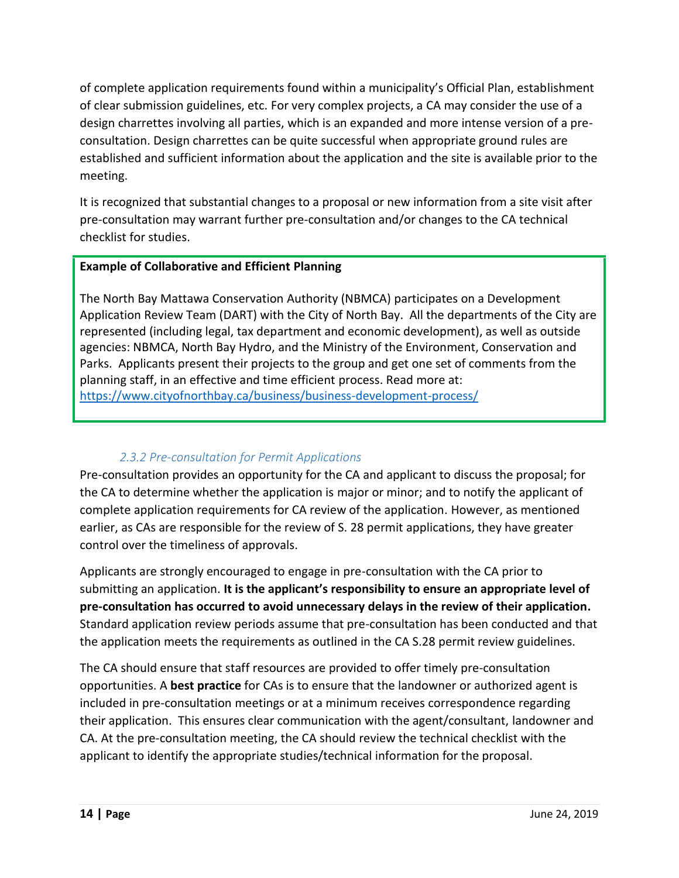of complete application requirements found within a municipality's Official Plan, establishment of clear submission guidelines, etc. For very complex projects, a CA may consider the use of a design charrettes involving all parties, which is an expanded and more intense version of a preconsultation. Design charrettes can be quite successful when appropriate ground rules are established and sufficient information about the application and the site is available prior to the meeting.

It is recognized that substantial changes to a proposal or new information from a site visit after pre-consultation may warrant further pre-consultation and/or changes to the CA technical checklist for studies.

## **Example of Collaborative and Efficient Planning**

The North Bay Mattawa Conservation Authority (NBMCA) participates on a Development Application Review Team (DART) with the City of North Bay. All the departments of the City are represented (including legal, tax department and economic development), as well as outside agencies: NBMCA, North Bay Hydro, and the Ministry of the Environment, Conservation and Parks. Applicants present their projects to the group and get one set of comments from the planning staff, in an effective and time efficient process. Read more at: <https://www.cityofnorthbay.ca/business/business-development-process/>

# *2.3.2 Pre-consultation for Permit Applications*

Pre-consultation provides an opportunity for the CA and applicant to discuss the proposal; for the CA to determine whether the application is major or minor; and to notify the applicant of complete application requirements for CA review of the application. However, as mentioned earlier, as CAs are responsible for the review of S. 28 permit applications, they have greater control over the timeliness of approvals.

Applicants are strongly encouraged to engage in pre-consultation with the CA prior to submitting an application. **It is the applicant's responsibility to ensure an appropriate level of pre-consultation has occurred to avoid unnecessary delays in the review of their application.** Standard application review periods assume that pre-consultation has been conducted and that the application meets the requirements as outlined in the CA S.28 permit review guidelines.

The CA should ensure that staff resources are provided to offer timely pre-consultation opportunities. A **best practice** for CAs is to ensure that the landowner or authorized agent is included in pre-consultation meetings or at a minimum receives correspondence regarding their application. This ensures clear communication with the agent/consultant, landowner and CA. At the pre-consultation meeting, the CA should review the technical checklist with the applicant to identify the appropriate studies/technical information for the proposal.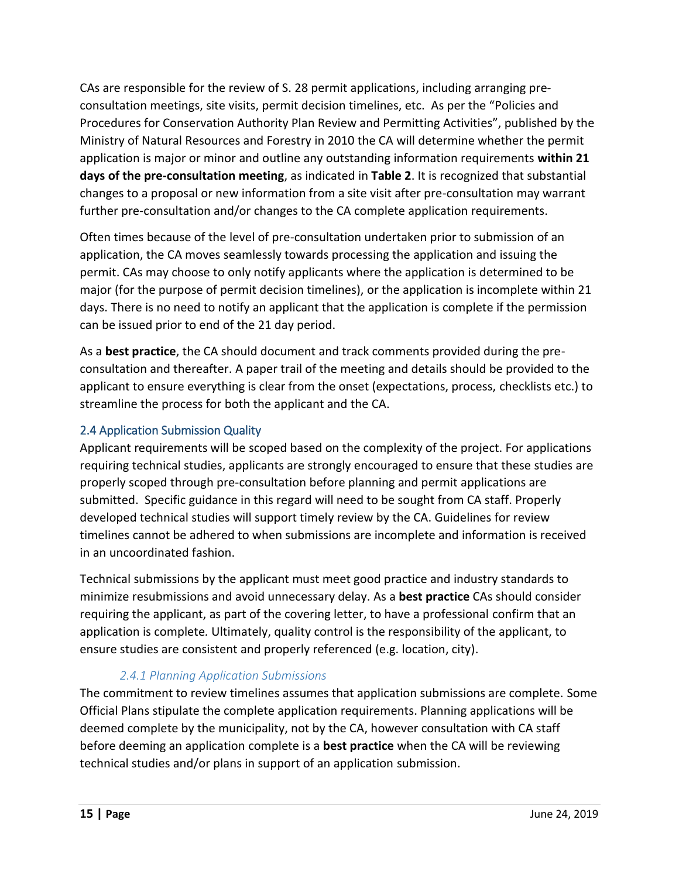CAs are responsible for the review of S. 28 permit applications, including arranging preconsultation meetings, site visits, permit decision timelines, etc. As per the "Policies and Procedures for Conservation Authority Plan Review and Permitting Activities", published by the Ministry of Natural Resources and Forestry in 2010 the CA will determine whether the permit application is major or minor and outline any outstanding information requirements **within 21 days of the pre-consultation meeting**, as indicated in **Table 2**. It is recognized that substantial changes to a proposal or new information from a site visit after pre-consultation may warrant further pre-consultation and/or changes to the CA complete application requirements.

Often times because of the level of pre-consultation undertaken prior to submission of an application, the CA moves seamlessly towards processing the application and issuing the permit. CAs may choose to only notify applicants where the application is determined to be major (for the purpose of permit decision timelines), or the application is incomplete within 21 days. There is no need to notify an applicant that the application is complete if the permission can be issued prior to end of the 21 day period.

As a **best practice**, the CA should document and track comments provided during the preconsultation and thereafter. A paper trail of the meeting and details should be provided to the applicant to ensure everything is clear from the onset (expectations, process, checklists etc.) to streamline the process for both the applicant and the CA.

# <span id="page-14-0"></span>2.4 Application Submission Quality

Applicant requirements will be scoped based on the complexity of the project. For applications requiring technical studies, applicants are strongly encouraged to ensure that these studies are properly scoped through pre-consultation before planning and permit applications are submitted. Specific guidance in this regard will need to be sought from CA staff. Properly developed technical studies will support timely review by the CA. Guidelines for review timelines cannot be adhered to when submissions are incomplete and information is received in an uncoordinated fashion.

Technical submissions by the applicant must meet good practice and industry standards to minimize resubmissions and avoid unnecessary delay. As a **best practice** CAs should consider requiring the applicant, as part of the covering letter, to have a professional confirm that an application is complete*.* Ultimately, quality control is the responsibility of the applicant, to ensure studies are consistent and properly referenced (e.g. location, city).

# *2.4.1 Planning Application Submissions*

The commitment to review timelines assumes that application submissions are complete. Some Official Plans stipulate the complete application requirements. Planning applications will be deemed complete by the municipality, not by the CA, however consultation with CA staff before deeming an application complete is a **best practice** when the CA will be reviewing technical studies and/or plans in support of an application submission.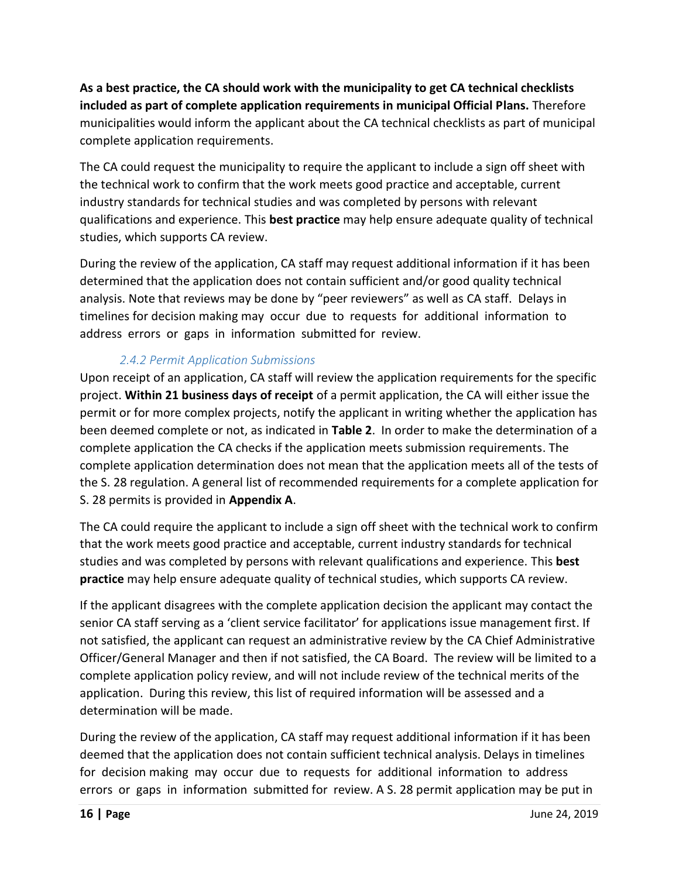**As a best practice, the CA should work with the municipality to get CA technical checklists included as part of complete application requirements in municipal Official Plans.** Therefore municipalities would inform the applicant about the CA technical checklists as part of municipal complete application requirements.

The CA could request the municipality to require the applicant to include a sign off sheet with the technical work to confirm that the work meets good practice and acceptable, current industry standards for technical studies and was completed by persons with relevant qualifications and experience. This **best practice** may help ensure adequate quality of technical studies, which supports CA review.

During the review of the application, CA staff may request additional information if it has been determined that the application does not contain sufficient and/or good quality technical analysis. Note that reviews may be done by "peer reviewers" as well as CA staff. Delays in timelines for decision making may occur due to requests for additional information to address errors or gaps in information submitted for review.

# *2.4.2 Permit Application Submissions*

Upon receipt of an application, CA staff will review the application requirements for the specific project. **Within 21 business days of receipt** of a permit application, the CA will either issue the permit or for more complex projects, notify the applicant in writing whether the application has been deemed complete or not, as indicated in **Table 2**. In order to make the determination of a complete application the CA checks if the application meets submission requirements. The complete application determination does not mean that the application meets all of the tests of the S. 28 regulation. A general list of recommended requirements for a complete application for S. 28 permits is provided in **Appendix A**.

The CA could require the applicant to include a sign off sheet with the technical work to confirm that the work meets good practice and acceptable, current industry standards for technical studies and was completed by persons with relevant qualifications and experience. This **best practice** may help ensure adequate quality of technical studies, which supports CA review.

If the applicant disagrees with the complete application decision the applicant may contact the senior CA staff serving as a 'client service facilitator' for applications issue management first. If not satisfied, the applicant can request an administrative review by the CA Chief Administrative Officer/General Manager and then if not satisfied, the CA Board. The review will be limited to a complete application policy review, and will not include review of the technical merits of the application. During this review, this list of required information will be assessed and a determination will be made.

During the review of the application, CA staff may request additional information if it has been deemed that the application does not contain sufficient technical analysis. Delays in timelines for decision making may occur due to requests for additional information to address errors or gaps in information submitted for review. A S. 28 permit application may be put in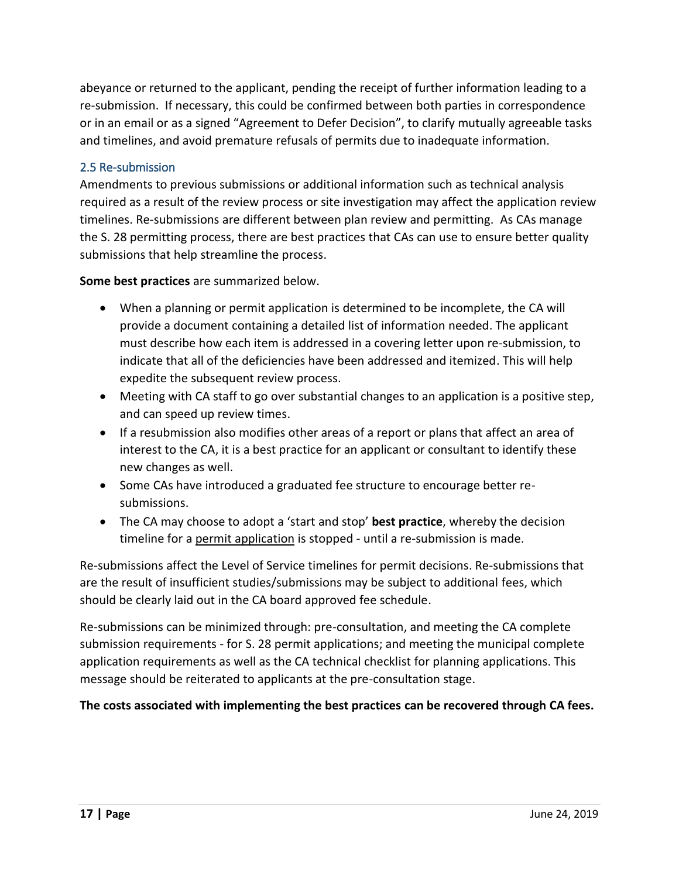abeyance or returned to the applicant, pending the receipt of further information leading to a re-submission. If necessary, this could be confirmed between both parties in correspondence or in an email or as a signed "Agreement to Defer Decision", to clarify mutually agreeable tasks and timelines, and avoid premature refusals of permits due to inadequate information.

## <span id="page-16-0"></span>2.5 Re-submission

Amendments to previous submissions or additional information such as technical analysis required as a result of the review process or site investigation may affect the application review timelines. Re-submissions are different between plan review and permitting. As CAs manage the S. 28 permitting process, there are best practices that CAs can use to ensure better quality submissions that help streamline the process.

**Some best practices** are summarized below.

- When a planning or permit application is determined to be incomplete, the CA will provide a document containing a detailed list of information needed. The applicant must describe how each item is addressed in a covering letter upon re-submission, to indicate that all of the deficiencies have been addressed and itemized. This will help expedite the subsequent review process.
- Meeting with CA staff to go over substantial changes to an application is a positive step, and can speed up review times.
- If a resubmission also modifies other areas of a report or plans that affect an area of interest to the CA, it is a best practice for an applicant or consultant to identify these new changes as well.
- Some CAs have introduced a graduated fee structure to encourage better resubmissions.
- The CA may choose to adopt a 'start and stop' **best practice**, whereby the decision timeline for a permit application is stopped - until a re-submission is made.

Re-submissions affect the Level of Service timelines for permit decisions. Re-submissions that are the result of insufficient studies/submissions may be subject to additional fees, which should be clearly laid out in the CA board approved fee schedule.

Re-submissions can be minimized through: pre-consultation, and meeting the CA complete submission requirements - for S. 28 permit applications; and meeting the municipal complete application requirements as well as the CA technical checklist for planning applications. This message should be reiterated to applicants at the pre-consultation stage.

**The costs associated with implementing the best practices can be recovered through CA fees.**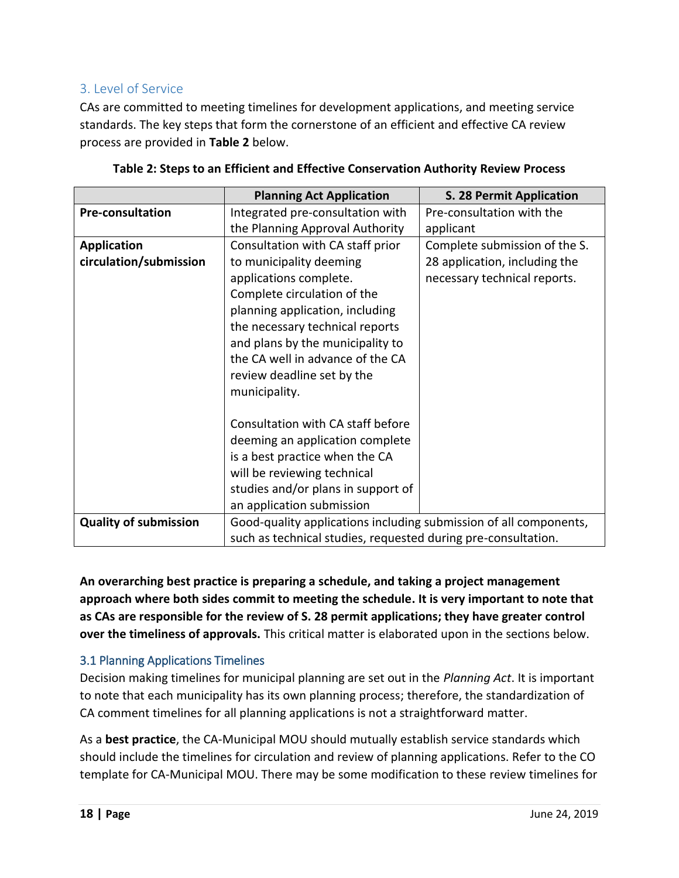# <span id="page-17-0"></span>3. Level of Service

CAs are committed to meeting timelines for development applications, and meeting service standards. The key steps that form the cornerstone of an efficient and effective CA review process are provided in **Table 2** below.

|                              | <b>Planning Act Application</b>                                   | <b>S. 28 Permit Application</b> |  |
|------------------------------|-------------------------------------------------------------------|---------------------------------|--|
| Pre-consultation             | Integrated pre-consultation with                                  | Pre-consultation with the       |  |
|                              | the Planning Approval Authority                                   | applicant                       |  |
| <b>Application</b>           | Consultation with CA staff prior                                  | Complete submission of the S.   |  |
| circulation/submission       | to municipality deeming                                           | 28 application, including the   |  |
|                              | applications complete.                                            | necessary technical reports.    |  |
|                              | Complete circulation of the                                       |                                 |  |
|                              | planning application, including                                   |                                 |  |
|                              | the necessary technical reports                                   |                                 |  |
|                              | and plans by the municipality to                                  |                                 |  |
|                              | the CA well in advance of the CA                                  |                                 |  |
|                              | review deadline set by the                                        |                                 |  |
|                              | municipality.                                                     |                                 |  |
|                              |                                                                   |                                 |  |
|                              | Consultation with CA staff before                                 |                                 |  |
|                              | deeming an application complete                                   |                                 |  |
|                              | is a best practice when the CA                                    |                                 |  |
|                              | will be reviewing technical                                       |                                 |  |
|                              | studies and/or plans in support of                                |                                 |  |
|                              | an application submission                                         |                                 |  |
| <b>Quality of submission</b> | Good-quality applications including submission of all components, |                                 |  |
|                              | such as technical studies, requested during pre-consultation.     |                                 |  |

| Table 2: Steps to an Efficient and Effective Conservation Authority Review Process |  |
|------------------------------------------------------------------------------------|--|
|                                                                                    |  |

**An overarching best practice is preparing a schedule, and taking a project management approach where both sides commit to meeting the schedule. It is very important to note that as CAs are responsible for the review of S. 28 permit applications; they have greater control over the timeliness of approvals.** This critical matter is elaborated upon in the sections below.

# <span id="page-17-1"></span>3.1 Planning Applications Timelines

Decision making timelines for municipal planning are set out in the *Planning Act*. It is important to note that each municipality has its own planning process; therefore, the standardization of CA comment timelines for all planning applications is not a straightforward matter.

As a **best practice**, the CA-Municipal MOU should mutually establish service standards which should include the timelines for circulation and review of planning applications. Refer to the CO template for CA-Municipal MOU. There may be some modification to these review timelines for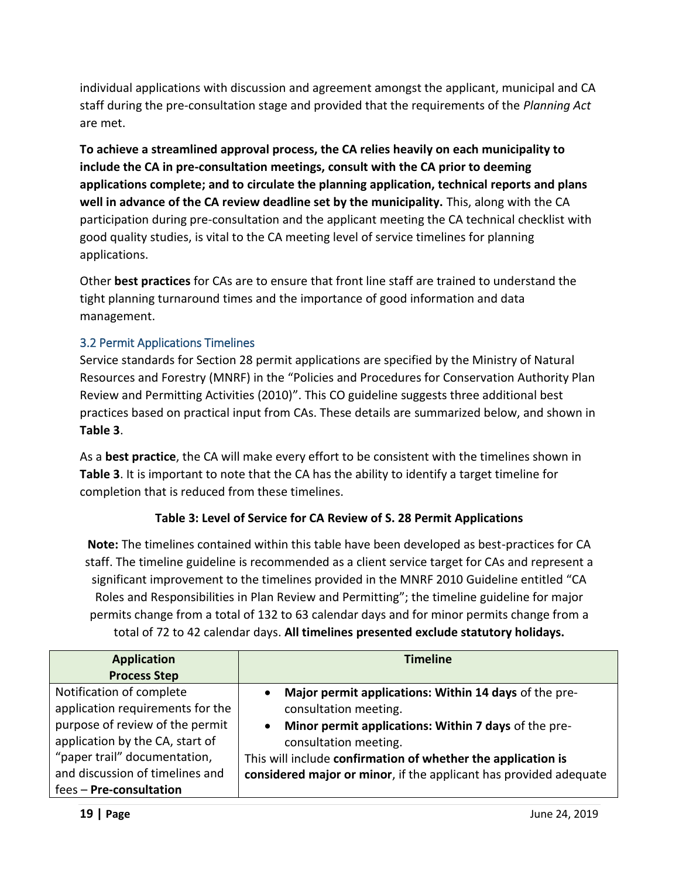individual applications with discussion and agreement amongst the applicant, municipal and CA staff during the pre-consultation stage and provided that the requirements of the *Planning Act*  are met.

**To achieve a streamlined approval process, the CA relies heavily on each municipality to include the CA in pre-consultation meetings, consult with the CA prior to deeming applications complete; and to circulate the planning application, technical reports and plans well in advance of the CA review deadline set by the municipality.** This, along with the CA participation during pre-consultation and the applicant meeting the CA technical checklist with good quality studies, is vital to the CA meeting level of service timelines for planning applications.

Other **best practices** for CAs are to ensure that front line staff are trained to understand the tight planning turnaround times and the importance of good information and data management.

# <span id="page-18-0"></span>3.2 Permit Applications Timelines

Service standards for Section 28 permit applications are specified by the Ministry of Natural Resources and Forestry (MNRF) in the "Policies and Procedures for Conservation Authority Plan Review and Permitting Activities (2010)". This CO guideline suggests three additional best practices based on practical input from CAs. These details are summarized below, and shown in **Table 3**.

As a **best practice**, the CA will make every effort to be consistent with the timelines shown in **Table 3**. It is important to note that the CA has the ability to identify a target timeline for completion that is reduced from these timelines.

#### **Table 3: Level of Service for CA Review of S. 28 Permit Applications**

**Note:** The timelines contained within this table have been developed as best-practices for CA staff. The timeline guideline is recommended as a client service target for CAs and represent a significant improvement to the timelines provided in the MNRF 2010 Guideline entitled "CA Roles and Responsibilities in Plan Review and Permitting"; the timeline guideline for major permits change from a total of 132 to 63 calendar days and for minor permits change from a total of 72 to 42 calendar days. **All timelines presented exclude statutory holidays.** 

| <b>Application</b>               | <b>Timeline</b>                                                    |  |
|----------------------------------|--------------------------------------------------------------------|--|
| <b>Process Step</b>              |                                                                    |  |
| Notification of complete         | Major permit applications: Within 14 days of the pre-<br>$\bullet$ |  |
| application requirements for the | consultation meeting.                                              |  |
| purpose of review of the permit  | Minor permit applications: Within 7 days of the pre-<br>$\bullet$  |  |
| application by the CA, start of  | consultation meeting.                                              |  |
| "paper trail" documentation,     | This will include confirmation of whether the application is       |  |
| and discussion of timelines and  | considered major or minor, if the applicant has provided adequate  |  |
| fees - Pre-consultation          |                                                                    |  |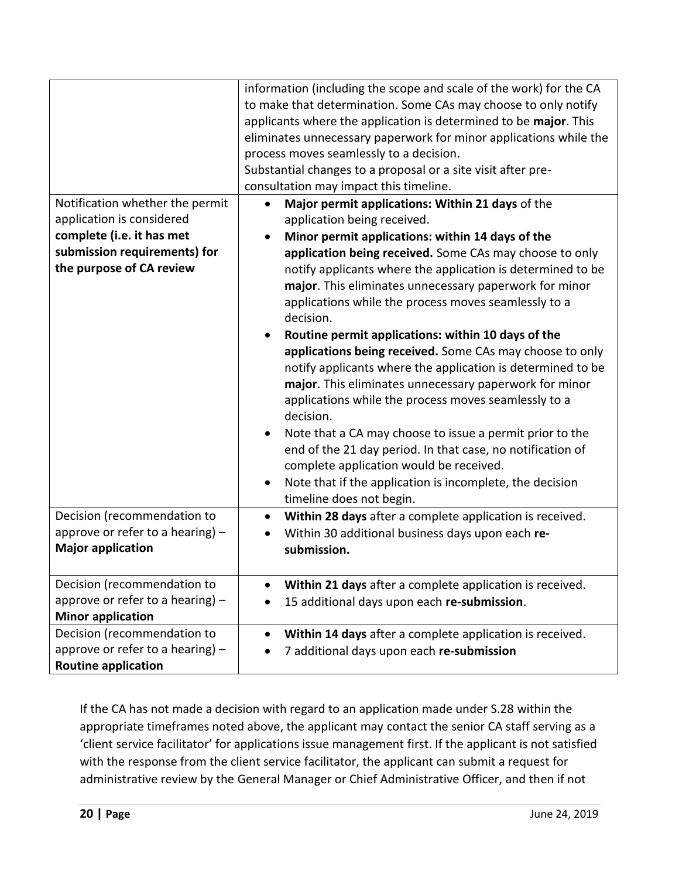| Notification whether the permit<br>application is considered<br>complete (i.e. it has met<br>submission requirements) for<br>the purpose of CA review | information (including the scope and scale of the work) for the CA<br>to make that determination. Some CAs may choose to only notify<br>applicants where the application is determined to be major. This<br>eliminates unnecessary paperwork for minor applications while the<br>process moves seamlessly to a decision.<br>Substantial changes to a proposal or a site visit after pre-<br>consultation may impact this timeline.<br>Major permit applications: Within 21 days of the<br>$\bullet$<br>application being received.<br>Minor permit applications: within 14 days of the<br>$\bullet$<br>application being received. Some CAs may choose to only<br>notify applicants where the application is determined to be<br>major. This eliminates unnecessary paperwork for minor<br>applications while the process moves seamlessly to a<br>decision.<br>Routine permit applications: within 10 days of the<br>applications being received. Some CAs may choose to only<br>notify applicants where the application is determined to be<br>major. This eliminates unnecessary paperwork for minor<br>applications while the process moves seamlessly to a<br>decision.<br>Note that a CA may choose to issue a permit prior to the |
|-------------------------------------------------------------------------------------------------------------------------------------------------------|------------------------------------------------------------------------------------------------------------------------------------------------------------------------------------------------------------------------------------------------------------------------------------------------------------------------------------------------------------------------------------------------------------------------------------------------------------------------------------------------------------------------------------------------------------------------------------------------------------------------------------------------------------------------------------------------------------------------------------------------------------------------------------------------------------------------------------------------------------------------------------------------------------------------------------------------------------------------------------------------------------------------------------------------------------------------------------------------------------------------------------------------------------------------------------------------------------------------------------------|
|                                                                                                                                                       | end of the 21 day period. In that case, no notification of<br>complete application would be received.<br>Note that if the application is incomplete, the decision<br>$\bullet$<br>timeline does not begin.                                                                                                                                                                                                                                                                                                                                                                                                                                                                                                                                                                                                                                                                                                                                                                                                                                                                                                                                                                                                                               |
| Decision (recommendation to<br>approve or refer to a hearing) $-$<br><b>Major application</b>                                                         | Within 28 days after a complete application is received.<br>$\bullet$<br>Within 30 additional business days upon each re-<br>submission.                                                                                                                                                                                                                                                                                                                                                                                                                                                                                                                                                                                                                                                                                                                                                                                                                                                                                                                                                                                                                                                                                                 |
| Decision (recommendation to<br>approve or refer to a hearing) $-$<br><b>Minor application</b>                                                         | Within 21 days after a complete application is received.<br>15 additional days upon each re-submission.                                                                                                                                                                                                                                                                                                                                                                                                                                                                                                                                                                                                                                                                                                                                                                                                                                                                                                                                                                                                                                                                                                                                  |
| Decision (recommendation to<br>approve or refer to a hearing) $-$<br><b>Routine application</b>                                                       | Within 14 days after a complete application is received.<br>$\bullet$<br>7 additional days upon each re-submission                                                                                                                                                                                                                                                                                                                                                                                                                                                                                                                                                                                                                                                                                                                                                                                                                                                                                                                                                                                                                                                                                                                       |

If the CA has not made a decision with regard to an application made under S.28 within the appropriate timeframes noted above, the applicant may contact the senior CA staff serving as a 'client service facilitator' for applications issue management first. If the applicant is not satisfied with the response from the client service facilitator, the applicant can submit a request for administrative review by the General Manager or Chief Administrative Officer, and then if not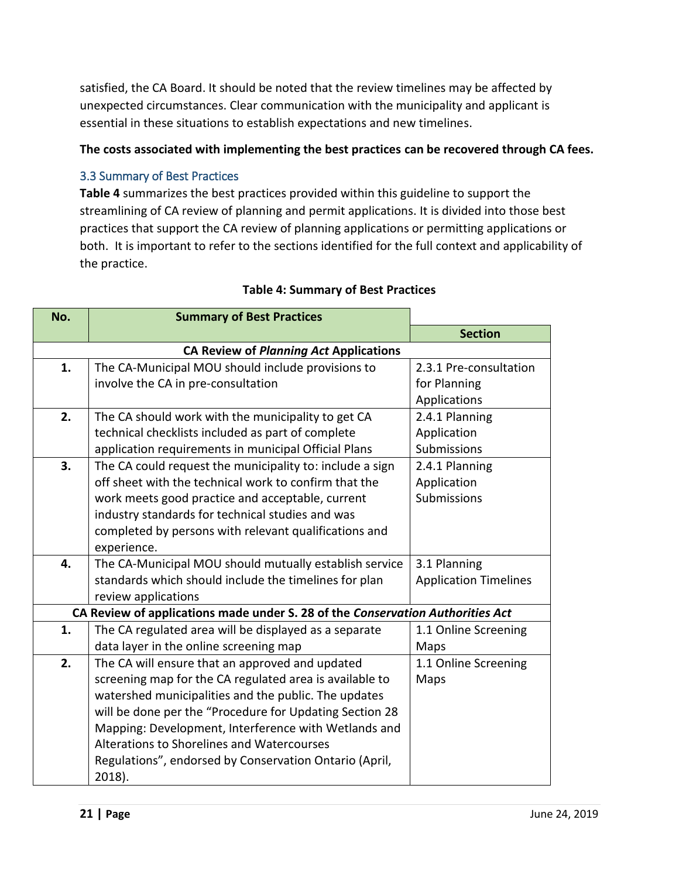satisfied, the CA Board. It should be noted that the review timelines may be affected by unexpected circumstances. Clear communication with the municipality and applicant is essential in these situations to establish expectations and new timelines.

#### **The costs associated with implementing the best practices can be recovered through CA fees.**

## <span id="page-20-0"></span>3.3 Summary of Best Practices

**Table 4** summarizes the best practices provided within this guideline to support the streamlining of CA review of planning and permit applications. It is divided into those best practices that support the CA review of planning applications or permitting applications or both. It is important to refer to the sections identified for the full context and applicability of the practice.

| No. | <b>Summary of Best Practices</b>                                               |                              |
|-----|--------------------------------------------------------------------------------|------------------------------|
|     |                                                                                | <b>Section</b>               |
|     | <b>CA Review of Planning Act Applications</b>                                  |                              |
| 1.  | The CA-Municipal MOU should include provisions to                              | 2.3.1 Pre-consultation       |
|     | involve the CA in pre-consultation                                             | for Planning                 |
|     |                                                                                | Applications                 |
| 2.  | The CA should work with the municipality to get CA                             | 2.4.1 Planning               |
|     | technical checklists included as part of complete                              | Application                  |
|     | application requirements in municipal Official Plans                           | Submissions                  |
| 3.  | The CA could request the municipality to: include a sign                       | 2.4.1 Planning               |
|     | off sheet with the technical work to confirm that the                          | Application                  |
|     | work meets good practice and acceptable, current                               | Submissions                  |
|     | industry standards for technical studies and was                               |                              |
|     | completed by persons with relevant qualifications and                          |                              |
|     | experience.                                                                    |                              |
| 4.  | The CA-Municipal MOU should mutually establish service                         | 3.1 Planning                 |
|     | standards which should include the timelines for plan                          | <b>Application Timelines</b> |
|     | review applications                                                            |                              |
|     | CA Review of applications made under S. 28 of the Conservation Authorities Act |                              |
| 1.  | The CA regulated area will be displayed as a separate                          | 1.1 Online Screening         |
|     | data layer in the online screening map                                         | Maps                         |
| 2.  | The CA will ensure that an approved and updated                                | 1.1 Online Screening         |
|     | screening map for the CA regulated area is available to                        | Maps                         |
|     | watershed municipalities and the public. The updates                           |                              |
|     | will be done per the "Procedure for Updating Section 28                        |                              |
|     | Mapping: Development, Interference with Wetlands and                           |                              |
|     | Alterations to Shorelines and Watercourses                                     |                              |
|     | Regulations", endorsed by Conservation Ontario (April,                         |                              |
|     | 2018).                                                                         |                              |

#### **Table 4: Summary of Best Practices**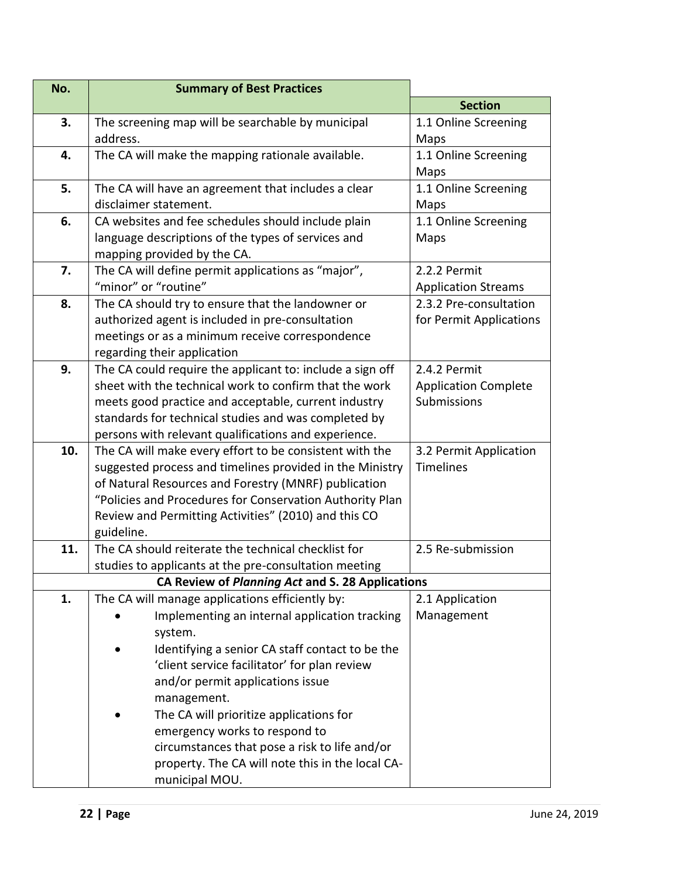| No. | <b>Summary of Best Practices</b>                          |                             |
|-----|-----------------------------------------------------------|-----------------------------|
|     |                                                           | <b>Section</b>              |
| 3.  | The screening map will be searchable by municipal         | 1.1 Online Screening        |
|     | address.                                                  | Maps                        |
| 4.  | The CA will make the mapping rationale available.         | 1.1 Online Screening        |
|     |                                                           | Maps                        |
| 5.  | The CA will have an agreement that includes a clear       | 1.1 Online Screening        |
|     | disclaimer statement.                                     | Maps                        |
| 6.  | CA websites and fee schedules should include plain        | 1.1 Online Screening        |
|     | language descriptions of the types of services and        | Maps                        |
|     | mapping provided by the CA.                               |                             |
| 7.  | The CA will define permit applications as "major",        | 2.2.2 Permit                |
|     | "minor" or "routine"                                      | <b>Application Streams</b>  |
| 8.  | The CA should try to ensure that the landowner or         | 2.3.2 Pre-consultation      |
|     | authorized agent is included in pre-consultation          | for Permit Applications     |
|     | meetings or as a minimum receive correspondence           |                             |
|     | regarding their application                               |                             |
| 9.  | The CA could require the applicant to: include a sign off | 2.4.2 Permit                |
|     | sheet with the technical work to confirm that the work    | <b>Application Complete</b> |
|     | meets good practice and acceptable, current industry      | Submissions                 |
|     | standards for technical studies and was completed by      |                             |
|     | persons with relevant qualifications and experience.      |                             |
| 10. | The CA will make every effort to be consistent with the   | 3.2 Permit Application      |
|     | suggested process and timelines provided in the Ministry  | <b>Timelines</b>            |
|     | of Natural Resources and Forestry (MNRF) publication      |                             |
|     | "Policies and Procedures for Conservation Authority Plan  |                             |
|     | Review and Permitting Activities" (2010) and this CO      |                             |
|     | guideline.                                                |                             |
| 11. | The CA should reiterate the technical checklist for       | 2.5 Re-submission           |
|     | studies to applicants at the pre-consultation meeting     |                             |
|     | CA Review of Planning Act and S. 28 Applications          |                             |
| 1.  | The CA will manage applications efficiently by:           | 2.1 Application             |
|     | Implementing an internal application tracking             | Management                  |
|     | system.                                                   |                             |
|     | Identifying a senior CA staff contact to be the           |                             |
|     | 'client service facilitator' for plan review              |                             |
|     | and/or permit applications issue                          |                             |
|     | management.<br>The CA will prioritize applications for    |                             |
|     | emergency works to respond to                             |                             |
|     | circumstances that pose a risk to life and/or             |                             |
|     | property. The CA will note this in the local CA-          |                             |
|     | municipal MOU.                                            |                             |
|     |                                                           |                             |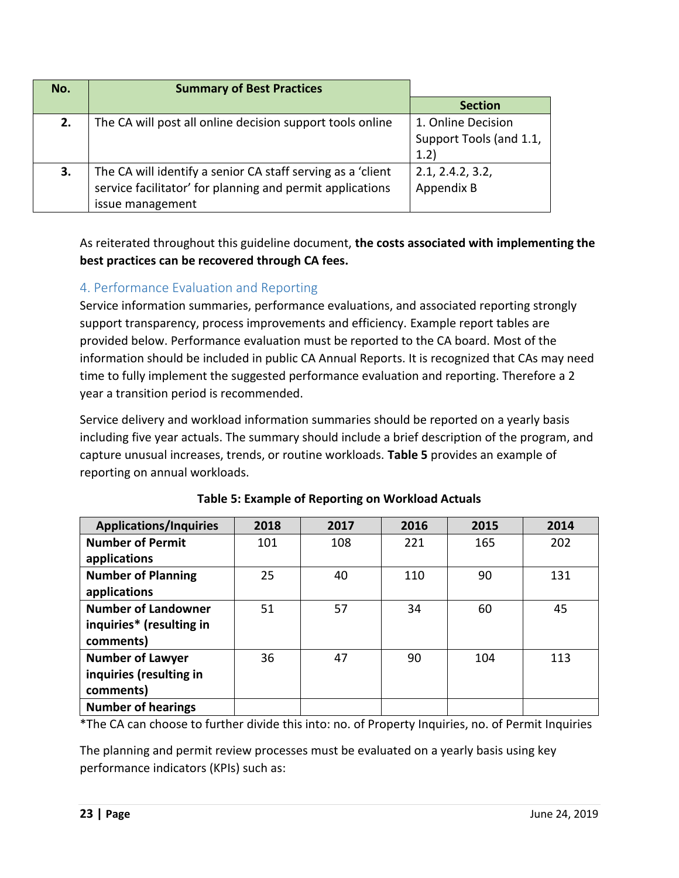| No. | <b>Summary of Best Practices</b>                                                                                         |                         |
|-----|--------------------------------------------------------------------------------------------------------------------------|-------------------------|
|     |                                                                                                                          | <b>Section</b>          |
| 2.  | The CA will post all online decision support tools online                                                                | 1. Online Decision      |
|     |                                                                                                                          | Support Tools (and 1.1, |
|     |                                                                                                                          | 1.2)                    |
| 3.  | The CA will identify a senior CA staff serving as a 'client<br>service facilitator' for planning and permit applications | 2.1, 2.4.2, 3.2,        |
|     |                                                                                                                          | Appendix B              |
|     | issue management                                                                                                         |                         |

As reiterated throughout this guideline document, **the costs associated with implementing the best practices can be recovered through CA fees.** 

# <span id="page-22-0"></span>4. Performance Evaluation and Reporting

Service information summaries, performance evaluations, and associated reporting strongly support transparency, process improvements and efficiency. Example report tables are provided below. Performance evaluation must be reported to the CA board. Most of the information should be included in public CA Annual Reports. It is recognized that CAs may need time to fully implement the suggested performance evaluation and reporting. Therefore a 2 year a transition period is recommended.

Service delivery and workload information summaries should be reported on a yearly basis including five year actuals. The summary should include a brief description of the program, and capture unusual increases, trends, or routine workloads. **Table 5** provides an example of reporting on annual workloads.

| <b>Applications/Inquiries</b> | 2018 | 2017 | 2016 | 2015 | 2014 |
|-------------------------------|------|------|------|------|------|
| <b>Number of Permit</b>       | 101  | 108  | 221  | 165  | 202  |
| applications                  |      |      |      |      |      |
| <b>Number of Planning</b>     | 25   | 40   | 110  | 90   | 131  |
| applications                  |      |      |      |      |      |
| <b>Number of Landowner</b>    | 51   | 57   | 34   | 60   | 45   |
| inquiries* (resulting in      |      |      |      |      |      |
| comments)                     |      |      |      |      |      |
| <b>Number of Lawyer</b>       | 36   | 47   | 90   | 104  | 113  |
| inquiries (resulting in       |      |      |      |      |      |
| comments)                     |      |      |      |      |      |
| <b>Number of hearings</b>     |      |      |      |      |      |

|  |  | Table 5: Example of Reporting on Workload Actuals |  |  |
|--|--|---------------------------------------------------|--|--|
|--|--|---------------------------------------------------|--|--|

\*The CA can choose to further divide this into: no. of Property Inquiries, no. of Permit Inquiries

The planning and permit review processes must be evaluated on a yearly basis using key performance indicators (KPIs) such as: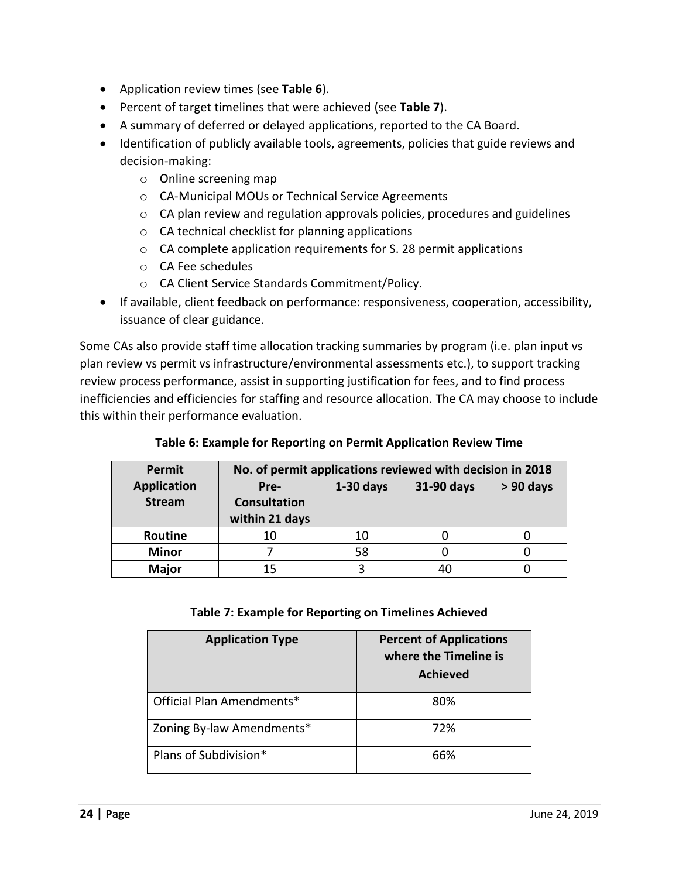- Application review times (see **Table 6**).
- Percent of target timelines that were achieved (see **Table 7**).
- A summary of deferred or delayed applications, reported to the CA Board.
- Identification of publicly available tools, agreements, policies that guide reviews and decision-making:
	- o Online screening map
	- o CA-Municipal MOUs or Technical Service Agreements
	- o CA plan review and regulation approvals policies, procedures and guidelines
	- o CA technical checklist for planning applications
	- o CA complete application requirements for S. 28 permit applications
	- o CA Fee schedules
	- o CA Client Service Standards Commitment/Policy.
- If available, client feedback on performance: responsiveness, cooperation, accessibility, issuance of clear guidance.

Some CAs also provide staff time allocation tracking summaries by program (i.e. plan input vs plan review vs permit vs infrastructure/environmental assessments etc.), to support tracking review process performance, assist in supporting justification for fees, and to find process inefficiencies and efficiencies for staffing and resource allocation. The CA may choose to include this within their performance evaluation.

#### **Table 6: Example for Reporting on Permit Application Review Time**

| Permit             | No. of permit applications reviewed with decision in 2018 |                                          |    |  |  |  |  |
|--------------------|-----------------------------------------------------------|------------------------------------------|----|--|--|--|--|
| <b>Application</b> | Pre-                                                      | $1-30$ days<br>31-90 days<br>$> 90$ days |    |  |  |  |  |
| <b>Stream</b>      | <b>Consultation</b>                                       |                                          |    |  |  |  |  |
|                    | within 21 days                                            |                                          |    |  |  |  |  |
| Routine            | 10                                                        | 10                                       |    |  |  |  |  |
| <b>Minor</b>       |                                                           | 58                                       |    |  |  |  |  |
| <b>Major</b>       | 15                                                        |                                          | 40 |  |  |  |  |

#### **Table 7: Example for Reporting on Timelines Achieved**

| <b>Application Type</b>   | <b>Percent of Applications</b><br>where the Timeline is<br><b>Achieved</b> |
|---------------------------|----------------------------------------------------------------------------|
| Official Plan Amendments* | 80%                                                                        |
| Zoning By-law Amendments* | 72%                                                                        |
| Plans of Subdivision*     | 66%                                                                        |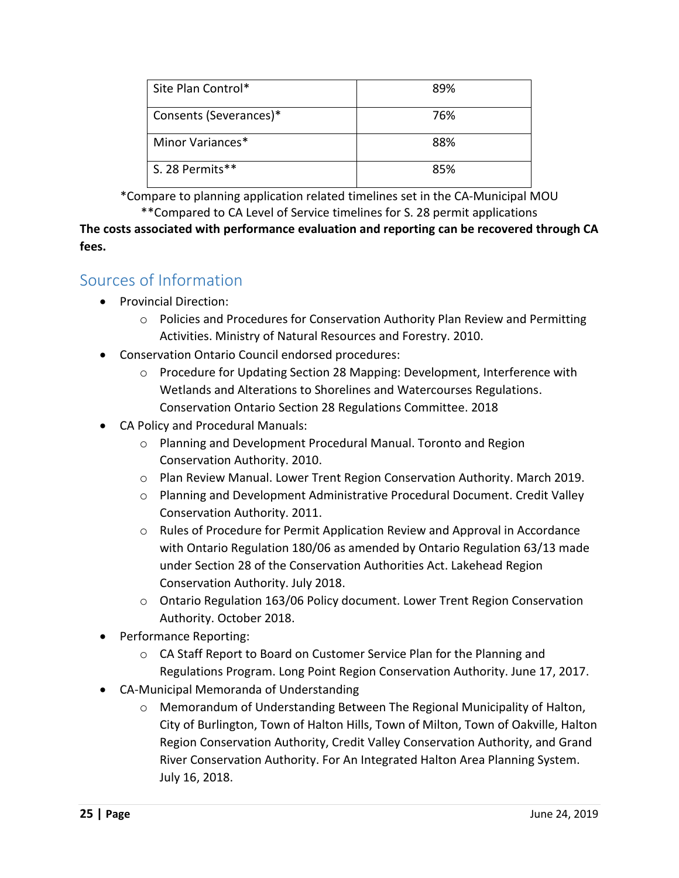| Site Plan Control*     | 89% |
|------------------------|-----|
| Consents (Severances)* | 76% |
| Minor Variances*       | 88% |
| S. 28 Permits**        | 85% |

\*Compare to planning application related timelines set in the CA-Municipal MOU \*\*Compared to CA Level of Service timelines for S. 28 permit applications

**The costs associated with performance evaluation and reporting can be recovered through CA fees.** 

# <span id="page-24-0"></span>Sources of Information

- Provincial Direction:
	- o Policies and Procedures for Conservation Authority Plan Review and Permitting Activities. Ministry of Natural Resources and Forestry. 2010.
- Conservation Ontario Council endorsed procedures:
	- o Procedure for Updating Section 28 Mapping: Development, Interference with Wetlands and Alterations to Shorelines and Watercourses Regulations. Conservation Ontario Section 28 Regulations Committee. 2018
- CA Policy and Procedural Manuals:
	- o Planning and Development Procedural Manual. Toronto and Region Conservation Authority. 2010.
	- o Plan Review Manual. Lower Trent Region Conservation Authority. March 2019.
	- o Planning and Development Administrative Procedural Document. Credit Valley Conservation Authority. 2011.
	- o Rules of Procedure for Permit Application Review and Approval in Accordance with Ontario Regulation 180/06 as amended by Ontario Regulation 63/13 made under Section 28 of the Conservation Authorities Act. Lakehead Region Conservation Authority. July 2018.
	- o Ontario Regulation 163/06 Policy document. Lower Trent Region Conservation Authority. October 2018.
- Performance Reporting:
	- o CA Staff Report to Board on Customer Service Plan for the Planning and Regulations Program. Long Point Region Conservation Authority. June 17, 2017.
- CA-Municipal Memoranda of Understanding
	- o Memorandum of Understanding Between The Regional Municipality of Halton, City of Burlington, Town of Halton Hills, Town of Milton, Town of Oakville, Halton Region Conservation Authority, Credit Valley Conservation Authority, and Grand River Conservation Authority. For An Integrated Halton Area Planning System. July 16, 2018.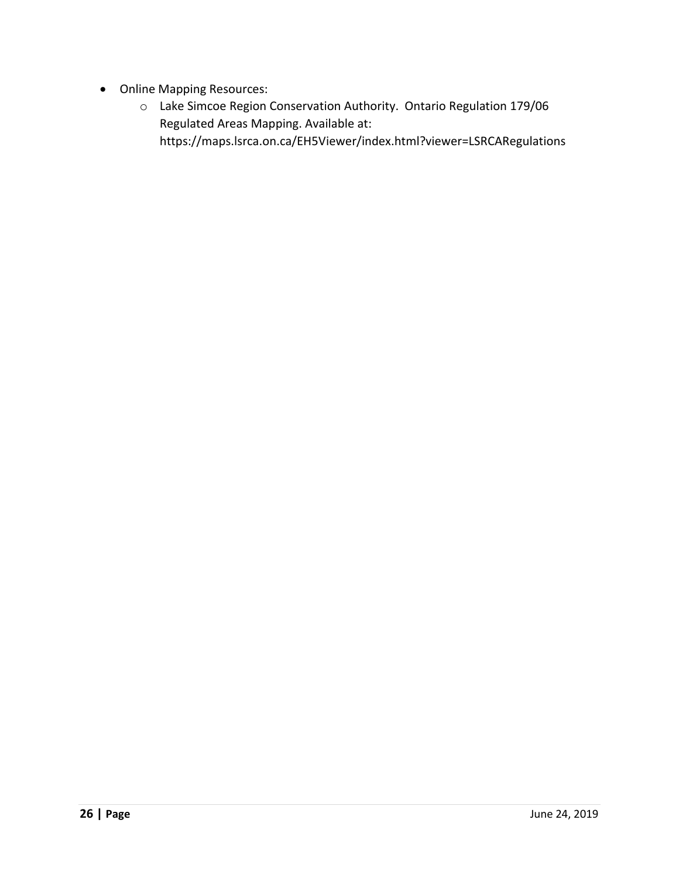- Online Mapping Resources:
	- o Lake Simcoe Region Conservation Authority. Ontario Regulation 179/06 Regulated Areas Mapping. Available at: <https://maps.lsrca.on.ca/EH5Viewer/index.html?viewer=LSRCARegulations>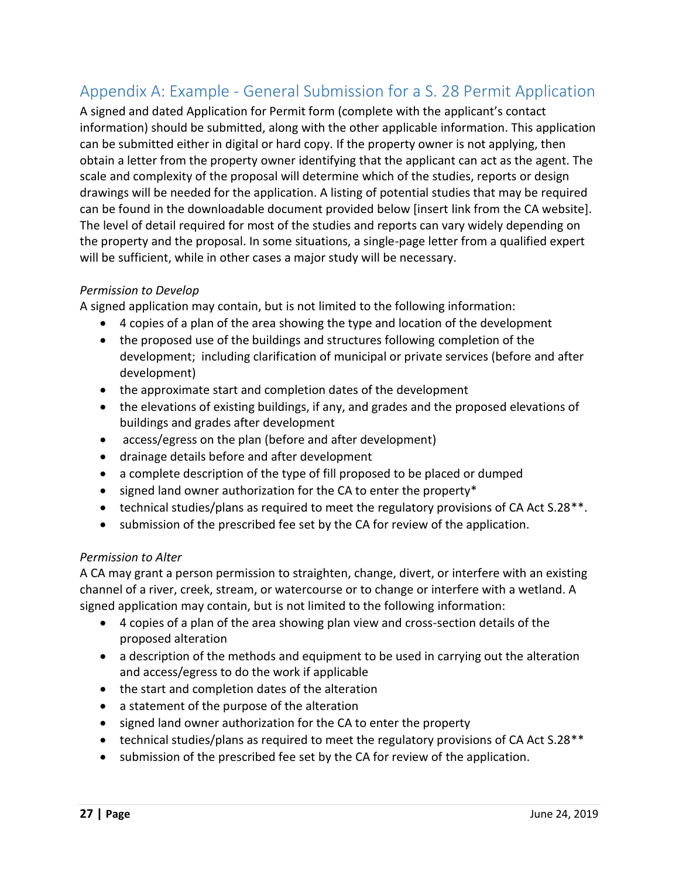# <span id="page-26-0"></span>Appendix A: Example - General Submission for a S. 28 Permit Application

A signed and dated Application for Permit form (complete with the applicant's contact information) should be submitted, along with the other applicable information. This application can be submitted either in digital or hard copy. If the property owner is not applying, then obtain a letter from the property owner identifying that the applicant can act as the agent. The scale and complexity of the proposal will determine which of the studies, reports or design drawings will be needed for the application. A listing of potential studies that may be required can be found in the downloadable document provided below [insert link from the CA website]. The level of detail required for most of the studies and reports can vary widely depending on the property and the proposal. In some situations, a single-page letter from a qualified expert will be sufficient, while in other cases a major study will be necessary.

#### *Permission to Develop*

A signed application may contain, but is not limited to the following information:

- 4 copies of a plan of the area showing the type and location of the development
- the proposed use of the buildings and structures following completion of the development; including clarification of municipal or private services (before and after development)
- the approximate start and completion dates of the development
- the elevations of existing buildings, if any, and grades and the proposed elevations of buildings and grades after development
- access/egress on the plan (before and after development)
- drainage details before and after development
- a complete description of the type of fill proposed to be placed or dumped
- signed land owner authorization for the CA to enter the property\*
- $\bullet$  technical studies/plans as required to meet the regulatory provisions of CA Act S.28<sup>\*\*</sup>.
- submission of the prescribed fee set by the CA for review of the application.

#### *Permission to Alter*

A CA may grant a person permission to straighten, change, divert, or interfere with an existing channel of a river, creek, stream, or watercourse or to change or interfere with a wetland. A signed application may contain, but is not limited to the following information:

- 4 copies of a plan of the area showing plan view and cross-section details of the proposed alteration
- a description of the methods and equipment to be used in carrying out the alteration and access/egress to do the work if applicable
- the start and completion dates of the alteration
- a statement of the purpose of the alteration
- signed land owner authorization for the CA to enter the property
- technical studies/plans as required to meet the regulatory provisions of CA Act S.28<sup>\*\*</sup>
- submission of the prescribed fee set by the CA for review of the application.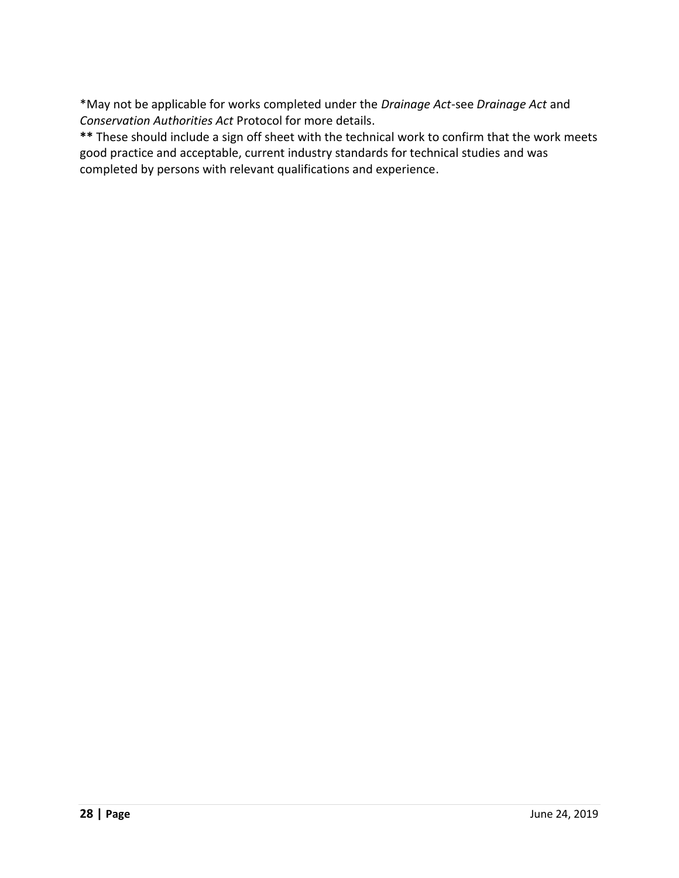\*May not be applicable for works completed under the *Drainage Act*-see *Drainage Act* and *Conservation Authorities Act* Protocol for more details.

**\*\*** These should include a sign off sheet with the technical work to confirm that the work meets good practice and acceptable, current industry standards for technical studies and was completed by persons with relevant qualifications and experience.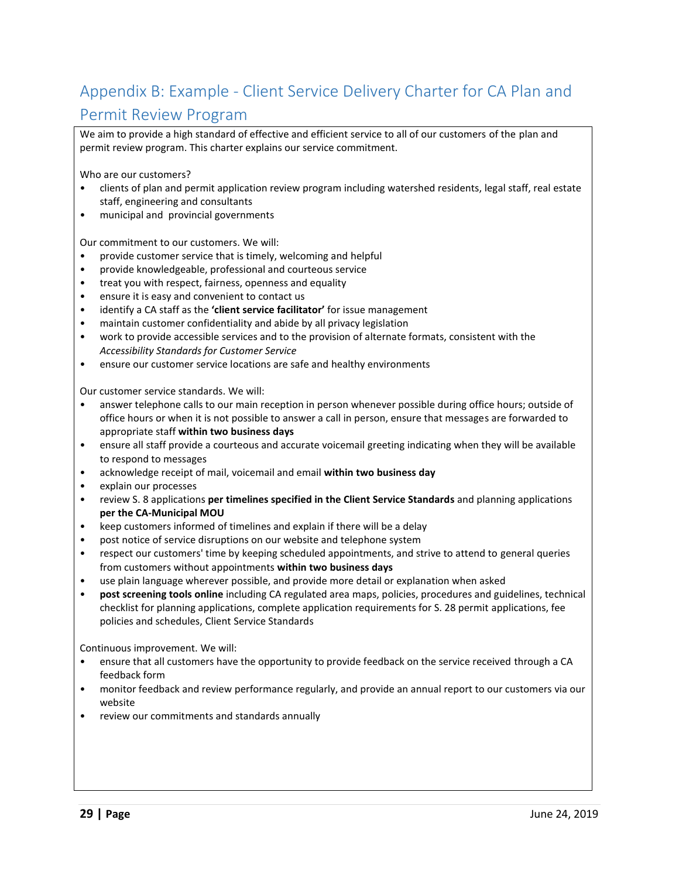# <span id="page-28-0"></span>Appendix B: Example - Client Service Delivery Charter for CA Plan and Permit Review Program

We aim to provide a high standard of effective and efficient service to all of our customers of the plan and permit review program. This charter explains our service commitment.

Who are our customers?

- clients of plan and permit application review program including watershed residents, legal staff, real estate staff, engineering and consultants
- municipal and provincial governments

Our commitment to our customers. We will:

- provide customer service that is timely, welcoming and helpful
- provide knowledgeable, professional and courteous service
- treat you with respect, fairness, openness and equality
- ensure it is easy and convenient to contact us
- identify a CA staff as the **'client service facilitator'** for issue management
- maintain customer confidentiality and abide by all privacy legislation
- work to provide accessible services and to the provision of alternate formats, consistent with the *Accessibility Standards for Customer Service*
- ensure our customer service locations are safe and healthy environments

Our customer service standards. We will:

- answer telephone calls to our main reception in person whenever possible during office hours; outside of office hours or when it is not possible to answer a call in person, ensure that messages are forwarded to appropriate staff **within two business days**
- ensure all staff provide a courteous and accurate voicemail greeting indicating when they will be available to respond to messages
- acknowledge receipt of mail, voicemail and email **within two business day**
- explain our processes
- review S. 8 applications **per timelines specified in the Client Service Standards** and planning applications **per the CA-Municipal MOU**
- keep customers informed of timelines and explain if there will be a delay
- post notice of service disruptions on our website and telephone system
- respect our customers' time by keeping scheduled appointments, and strive to attend to general queries from customers without appointments **within two business days**
- use plain language wherever possible, and provide more detail or explanation when asked
- **post screening tools online** including CA regulated area maps, policies, procedures and guidelines, technical checklist for planning applications, complete application requirements for S. 28 permit applications, fee policies and schedules, Client Service Standards

Continuous improvement. We will:

- ensure that all customers have the opportunity to provide feedback on the service received through a CA feedback form
- monitor feedback and review performance regularly, and provide an annual report to our customers via our website
- review our commitments and standards annually